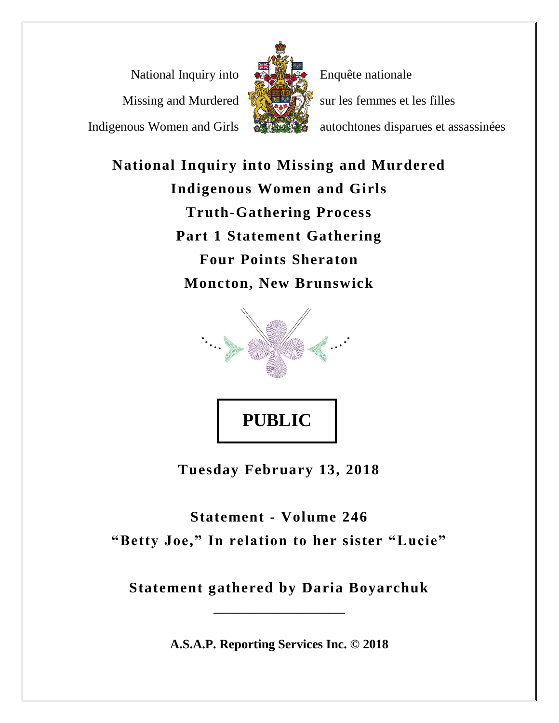National Inquiry into Missing and Murdered

Indigenous Women and Girls



Enquête nationale sur les femmes et les filles

autochtones disparues et assassinées

**National Inquiry into Missing and Murdered Indigenous Women and Girls Truth-Gathering Process Part 1 Statement Gathering Four Points Sheraton Moncton, New Brunswick**



**Tuesday February 13, 2018**

**Statement - Volume 246 "Betty Joe," In relation to her sister "Lucie"**

**Statement gathered by Daria Boyarchuk**

**\_\_\_\_\_\_\_\_\_\_\_\_\_\_\_\_\_\_\_\_\_\_\_\_**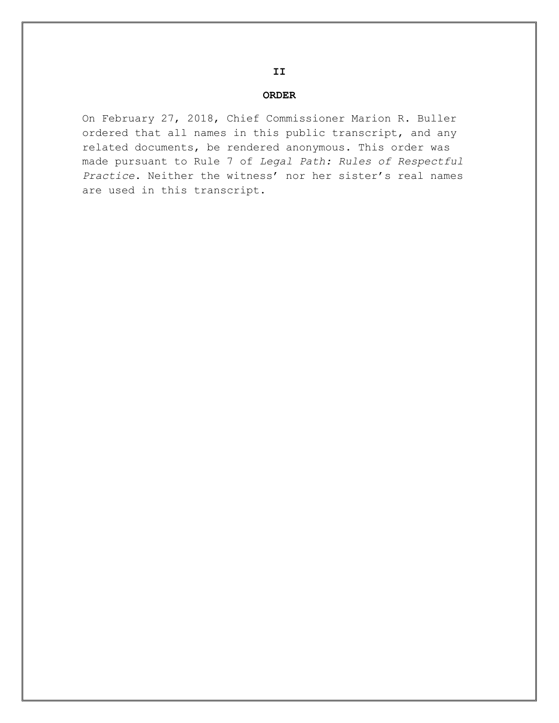#### **ORDER**

**II**

On February 27, 2018, Chief Commissioner Marion R. Buller ordered that all names in this public transcript, and any related documents, be rendered anonymous. This order was made pursuant to Rule 7 of *Legal Path: Rules of Respectful Practice*. Neither the witness' nor her sister's real names are used in this transcript.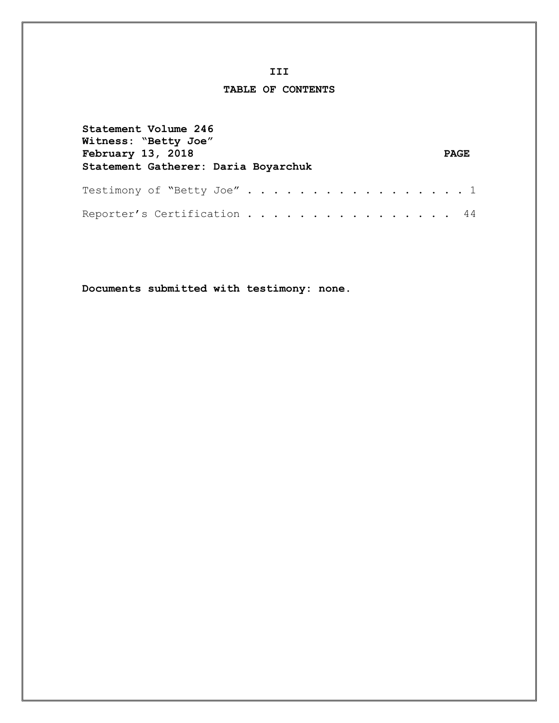#### **III**

### **TABLE OF CONTENTS**

| Statement Volume 246<br>Witness: "Betty Joe"<br>February 13, 2018<br>Statement Gatherer: Daria Boyarchuk | <b>PAGE</b> |
|----------------------------------------------------------------------------------------------------------|-------------|
| Testimony of "Betty Joe" 1                                                                               |             |
| Reporter's Certification 44                                                                              |             |

**Documents submitted with testimony: none.**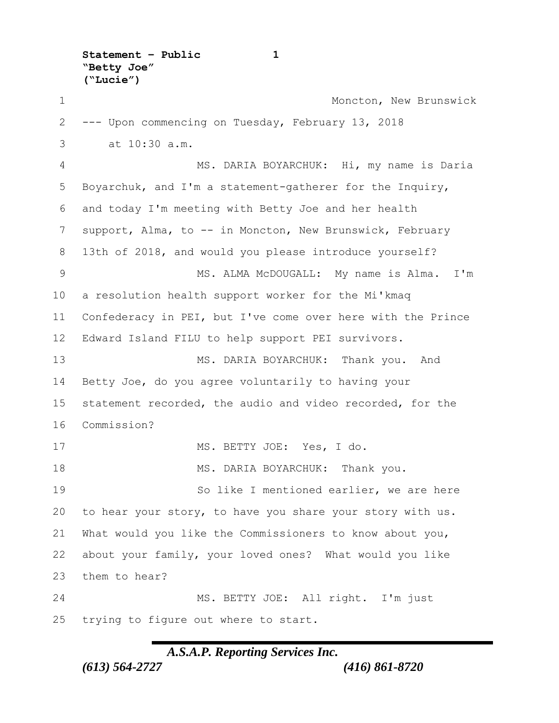**Statement – Public 1 "Betty Joe" ("Lucie")**

1 Moncton, New Brunswick --- Upon commencing on Tuesday, February 13, 2018 3 at 10:30 a.m. MS. DARIA BOYARCHUK: Hi, my name is Daria Boyarchuk, and I'm a statement-gatherer for the Inquiry, and today I'm meeting with Betty Joe and her health support, Alma, to -- in Moncton, New Brunswick, February 13th of 2018, and would you please introduce yourself? 9 MS. ALMA McDOUGALL: My name is Alma. I'm a resolution health support worker for the Mi'kmaq Confederacy in PEI, but I've come over here with the Prince Edward Island FILU to help support PEI survivors. MS. DARIA BOYARCHUK: Thank you. And Betty Joe, do you agree voluntarily to having your statement recorded, the audio and video recorded, for the Commission? MS. BETTY JOE: Yes, I do. 18 MS. DARIA BOYARCHUK: Thank you. So like I mentioned earlier, we are here to hear your story, to have you share your story with us. What would you like the Commissioners to know about you, about your family, your loved ones? What would you like them to hear? 24 MS. BETTY JOE: All right. I'm just trying to figure out where to start.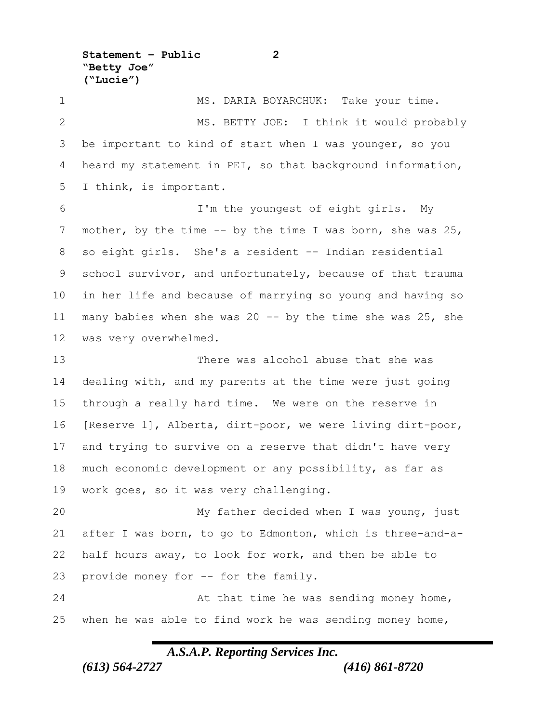**Statement – Public 2 "Betty Joe" ("Lucie")**

1 MS. DARIA BOYARCHUK: Take your time. 2 MS. BETTY JOE: I think it would probably be important to kind of start when I was younger, so you heard my statement in PEI, so that background information, I think, is important. I'm the youngest of eight girls. My 7 mother, by the time -- by the time I was born, she was 25, so eight girls. She's a resident -- Indian residential school survivor, and unfortunately, because of that trauma in her life and because of marrying so young and having so many babies when she was 20 -- by the time she was 25, she was very overwhelmed. There was alcohol abuse that she was dealing with, and my parents at the time were just going through a really hard time. We were on the reserve in [Reserve 1], Alberta, dirt-poor, we were living dirt-poor, and trying to survive on a reserve that didn't have very much economic development or any possibility, as far as work goes, so it was very challenging. My father decided when I was young, just after I was born, to go to Edmonton, which is three-and-a- half hours away, to look for work, and then be able to provide money for -- for the family. 24 At that time he was sending money home, when he was able to find work he was sending money home,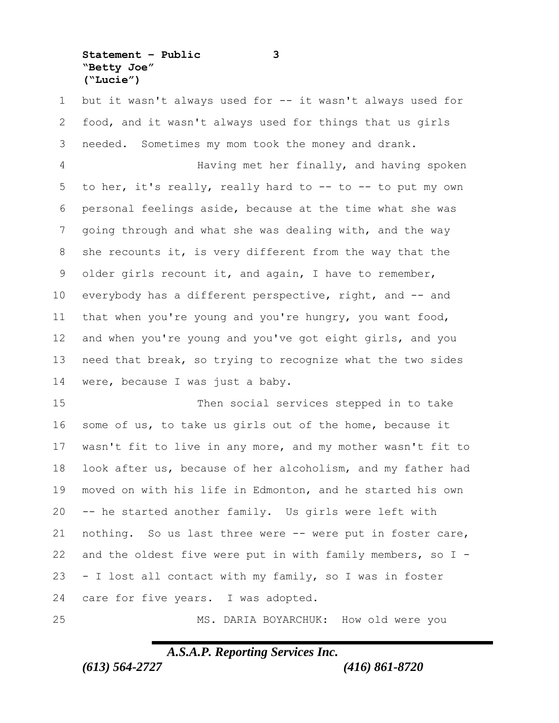**Statement – Public 3 "Betty Joe" ("Lucie")**

 but it wasn't always used for -- it wasn't always used for food, and it wasn't always used for things that us girls needed. Sometimes my mom took the money and drank.

 Having met her finally, and having spoken 5 to her, it's really, really hard to  $-$  to  $-$  to put my own personal feelings aside, because at the time what she was going through and what she was dealing with, and the way she recounts it, is very different from the way that the older girls recount it, and again, I have to remember, everybody has a different perspective, right, and -- and that when you're young and you're hungry, you want food, and when you're young and you've got eight girls, and you need that break, so trying to recognize what the two sides were, because I was just a baby.

 Then social services stepped in to take some of us, to take us girls out of the home, because it wasn't fit to live in any more, and my mother wasn't fit to look after us, because of her alcoholism, and my father had moved on with his life in Edmonton, and he started his own -- he started another family. Us girls were left with nothing. So us last three were -- were put in foster care, and the oldest five were put in with family members, so I - - I lost all contact with my family, so I was in foster care for five years. I was adopted.

MS. DARIA BOYARCHUK: How old were you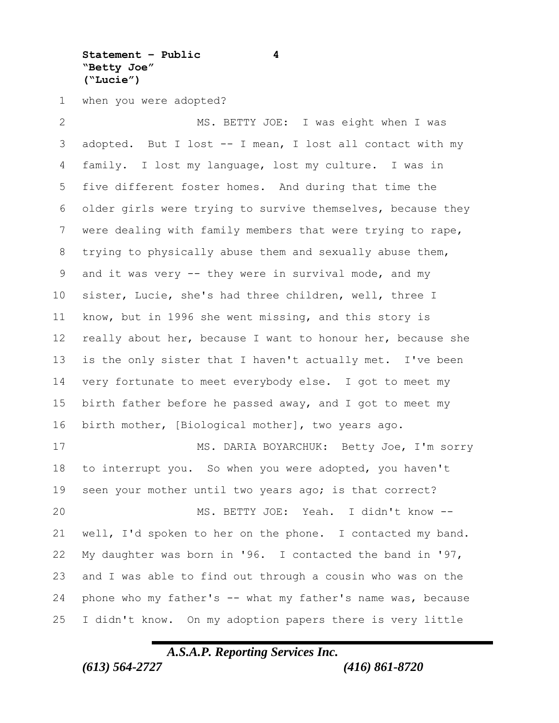**Statement – Public 4 "Betty Joe" ("Lucie")**

when you were adopted?

 MS. BETTY JOE: I was eight when I was adopted. But I lost -- I mean, I lost all contact with my family. I lost my language, lost my culture. I was in five different foster homes. And during that time the older girls were trying to survive themselves, because they were dealing with family members that were trying to rape, trying to physically abuse them and sexually abuse them, 9 and it was very -- they were in survival mode, and my sister, Lucie, she's had three children, well, three I know, but in 1996 she went missing, and this story is 12 really about her, because I want to honour her, because she is the only sister that I haven't actually met. I've been very fortunate to meet everybody else. I got to meet my birth father before he passed away, and I got to meet my birth mother, [Biological mother], two years ago. 17 MS. DARIA BOYARCHUK: Betty Joe, I'm sorry to interrupt you. So when you were adopted, you haven't seen your mother until two years ago; is that correct? MS. BETTY JOE: Yeah. I didn't know -- well, I'd spoken to her on the phone. I contacted my band. My daughter was born in '96. I contacted the band in '97, and I was able to find out through a cousin who was on the phone who my father's -- what my father's name was, because I didn't know. On my adoption papers there is very little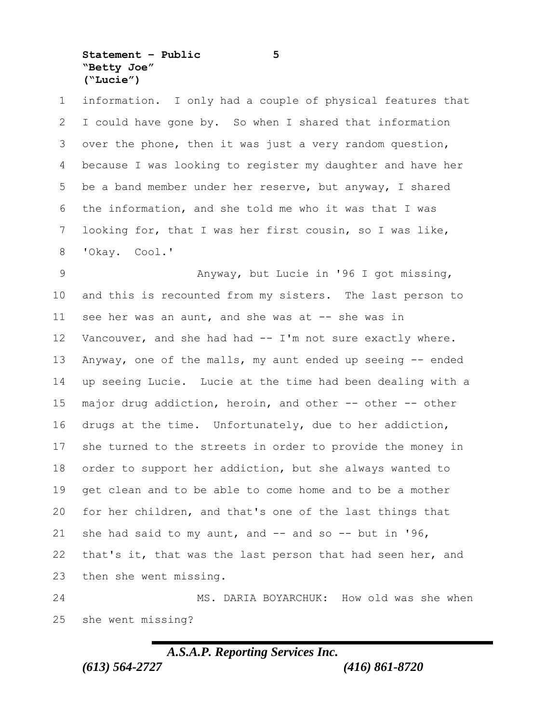**Statement – Public 5 "Betty Joe" ("Lucie")**

 information. I only had a couple of physical features that I could have gone by. So when I shared that information over the phone, then it was just a very random question, because I was looking to register my daughter and have her be a band member under her reserve, but anyway, I shared the information, and she told me who it was that I was looking for, that I was her first cousin, so I was like, 'Okay. Cool.'

 Anyway, but Lucie in '96 I got missing, and this is recounted from my sisters. The last person to 11 see her was an aunt, and she was at -- she was in Vancouver, and she had had -- I'm not sure exactly where. Anyway, one of the malls, my aunt ended up seeing -- ended up seeing Lucie. Lucie at the time had been dealing with a major drug addiction, heroin, and other -- other -- other drugs at the time. Unfortunately, due to her addiction, she turned to the streets in order to provide the money in order to support her addiction, but she always wanted to get clean and to be able to come home and to be a mother for her children, and that's one of the last things that 21 she had said to my aunt, and  $--$  and so  $--$  but in '96, that's it, that was the last person that had seen her, and then she went missing.

 MS. DARIA BOYARCHUK: How old was she when she went missing?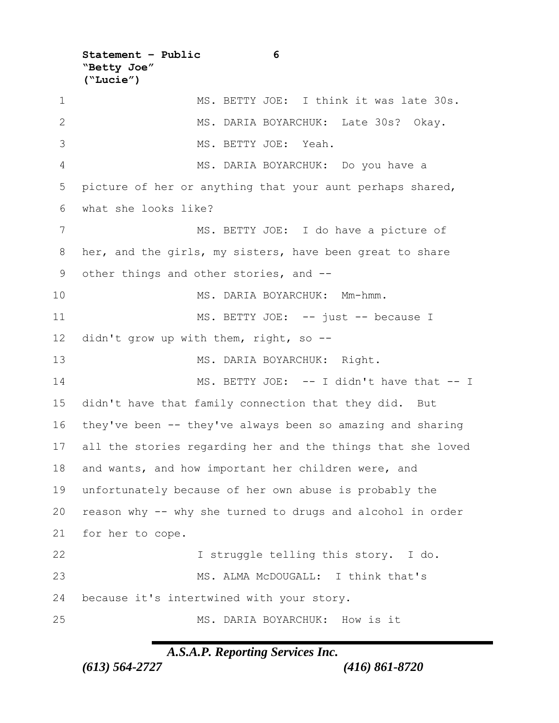**Statement – Public 6 "Betty Joe" ("Lucie")**

1 MS. BETTY JOE: I think it was late 30s. 2 MS. DARIA BOYARCHUK: Late 30s? Okay. MS. BETTY JOE: Yeah. MS. DARIA BOYARCHUK: Do you have a picture of her or anything that your aunt perhaps shared, what she looks like? 7 MS. BETTY JOE: I do have a picture of her, and the girls, my sisters, have been great to share other things and other stories, and -- MS. DARIA BOYARCHUK: Mm-hmm. 11 MS. BETTY JOE: -- just -- because I didn't grow up with them, right, so -- 13 MS. DARIA BOYARCHUK: Right. 14 MS. BETTY JOE: -- I didn't have that -- I didn't have that family connection that they did. But they've been -- they've always been so amazing and sharing all the stories regarding her and the things that she loved and wants, and how important her children were, and unfortunately because of her own abuse is probably the reason why -- why she turned to drugs and alcohol in order for her to cope. I struggle telling this story. I do. MS. ALMA McDOUGALL: I think that's because it's intertwined with your story. MS. DARIA BOYARCHUK: How is it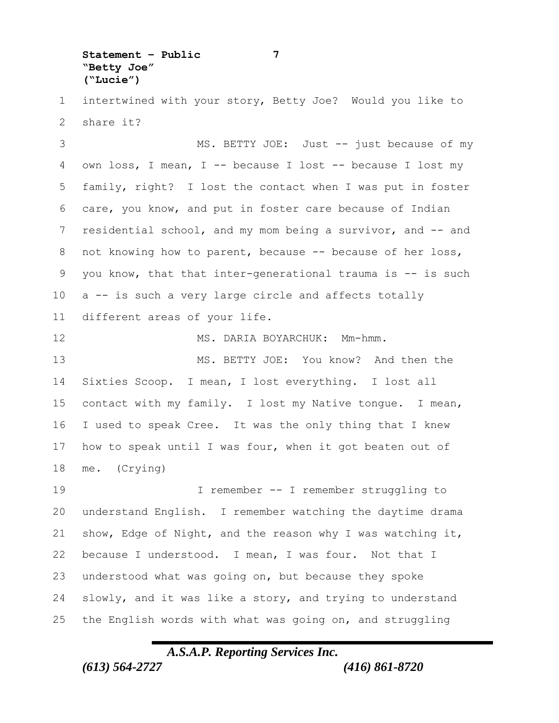**Statement – Public 7 "Betty Joe" ("Lucie")**

 intertwined with your story, Betty Joe? Would you like to share it?

3 MS. BETTY JOE: Just -- just because of my own loss, I mean, I -- because I lost -- because I lost my family, right? I lost the contact when I was put in foster care, you know, and put in foster care because of Indian 7 residential school, and my mom being a survivor, and -- and 8 not knowing how to parent, because -- because of her loss, you know, that that inter-generational trauma is -- is such a -- is such a very large circle and affects totally different areas of your life.

 MS. DARIA BOYARCHUK: Mm-hmm. 13 MS. BETTY JOE: You know? And then the Sixties Scoop. I mean, I lost everything. I lost all contact with my family. I lost my Native tongue. I mean, I used to speak Cree. It was the only thing that I knew how to speak until I was four, when it got beaten out of me. (Crying) I remember -- I remember struggling to understand English. I remember watching the daytime drama show, Edge of Night, and the reason why I was watching it, because I understood. I mean, I was four. Not that I understood what was going on, but because they spoke slowly, and it was like a story, and trying to understand

the English words with what was going on, and struggling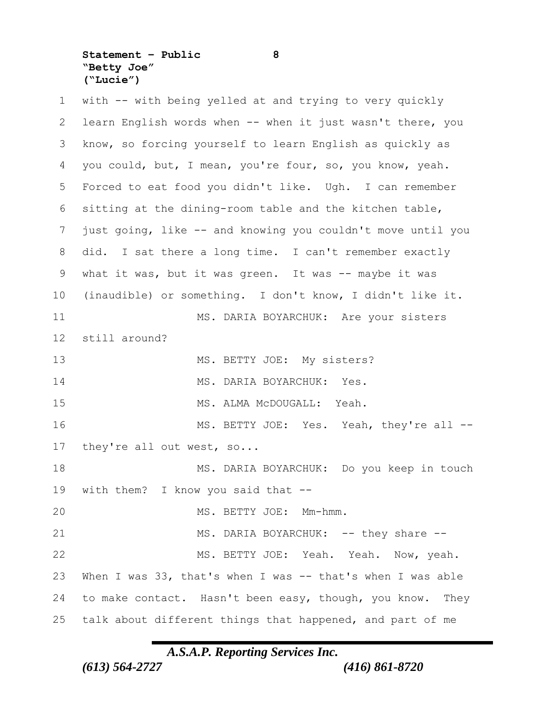**Statement – Public 8 "Betty Joe" ("Lucie")**

 with -- with being yelled at and trying to very quickly learn English words when -- when it just wasn't there, you know, so forcing yourself to learn English as quickly as you could, but, I mean, you're four, so, you know, yeah. Forced to eat food you didn't like. Ugh. I can remember sitting at the dining-room table and the kitchen table, just going, like -- and knowing you couldn't move until you did. I sat there a long time. I can't remember exactly what it was, but it was green. It was -- maybe it was (inaudible) or something. I don't know, I didn't like it. MS. DARIA BOYARCHUK: Are your sisters still around? 13 MS. BETTY JOE: My sisters? 14 MS. DARIA BOYARCHUK: Yes. MS. ALMA McDOUGALL: Yeah. 16 MS. BETTY JOE: Yes. Yeah, they're all --17 they're all out west, so... 18 MS. DARIA BOYARCHUK: Do you keep in touch with them? I know you said that -- MS. BETTY JOE: Mm-hmm. 21 MS. DARIA BOYARCHUK: -- they share -- MS. BETTY JOE: Yeah. Yeah. Now, yeah. When I was 33, that's when I was -- that's when I was able to make contact. Hasn't been easy, though, you know. They talk about different things that happened, and part of me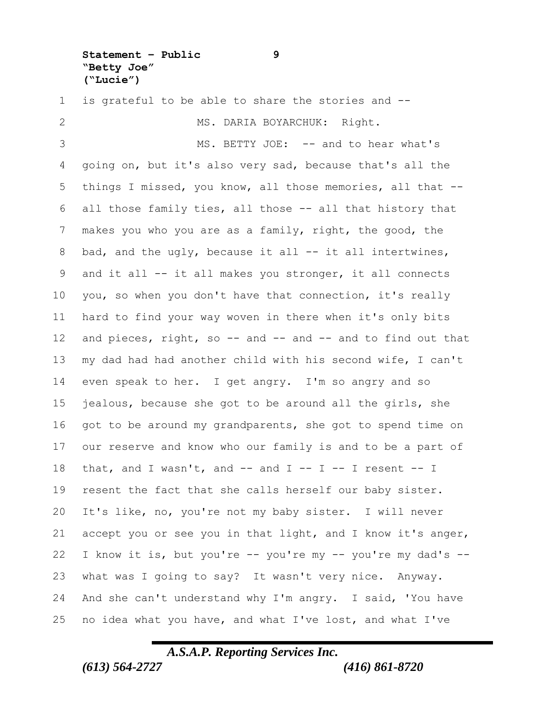**Statement – Public 9 "Betty Joe" ("Lucie")**

 is grateful to be able to share the stories and -- 2 MS. DARIA BOYARCHUK: Right. 3 MS. BETTY JOE: -- and to hear what's going on, but it's also very sad, because that's all the things I missed, you know, all those memories, all that -- all those family ties, all those -- all that history that makes you who you are as a family, right, the good, the 8 bad, and the ugly, because it all -- it all intertwines, and it all -- it all makes you stronger, it all connects you, so when you don't have that connection, it's really hard to find your way woven in there when it's only bits 12 and pieces, right, so -- and -- and -- and to find out that my dad had had another child with his second wife, I can't even speak to her. I get angry. I'm so angry and so jealous, because she got to be around all the girls, she got to be around my grandparents, she got to spend time on our reserve and know who our family is and to be a part of 18 that, and I wasn't, and  $--$  and I  $--$  I  $--$  I resent  $--$  I resent the fact that she calls herself our baby sister. It's like, no, you're not my baby sister. I will never accept you or see you in that light, and I know it's anger, I know it is, but you're -- you're my -- you're my dad's -- what was I going to say? It wasn't very nice. Anyway. And she can't understand why I'm angry. I said, 'You have no idea what you have, and what I've lost, and what I've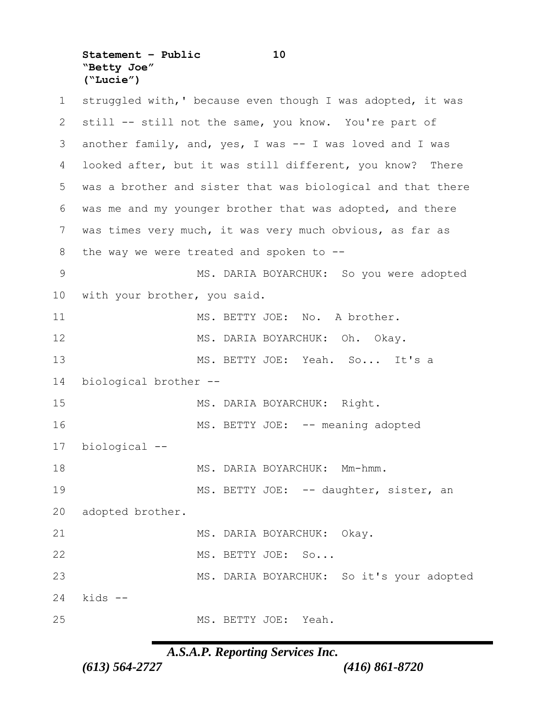**Statement – Public 10 "Betty Joe" ("Lucie")**

1 struggled with,' because even though I was adopted, it was 2 still -- still not the same, you know. You're part of 3 another family, and, yes, I was -- I was loved and I was 4 looked after, but it was still different, you know? There 5 was a brother and sister that was biological and that there 6 was me and my younger brother that was adopted, and there 7 was times very much, it was very much obvious, as far as 8 the way we were treated and spoken to --9 MS. DARIA BOYARCHUK: So you were adopted 10 with your brother, you said. 11 MS. BETTY JOE: No. A brother. 12 MS. DARIA BOYARCHUK: Oh. Okay. 13 MS. BETTY JOE: Yeah. So... It's a 14 biological brother -- 15 MS. DARIA BOYARCHUK: Right. 16 MS. BETTY JOE: -- meaning adopted 17 biological -- 18 MS. DARIA BOYARCHUK: Mm-hmm. 19 MS. BETTY JOE: -- daughter, sister, an 20 adopted brother. 21 MS. DARIA BOYARCHUK: Okay. 22 MS. BETTY JOE: So... 23 MS. DARIA BOYARCHUK: So it's your adopted 24 kids -- 25 MS. BETTY JOE: Yeah.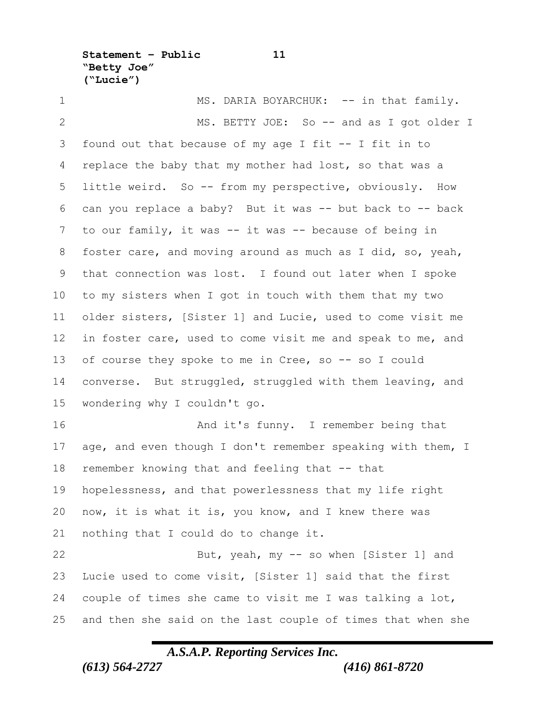**Statement – Public 11 "Betty Joe" ("Lucie")**

1 MS. DARIA BOYARCHUK: -- in that family. 2 MS. BETTY JOE: So -- and as I got older I found out that because of my age I fit -- I fit in to 4 replace the baby that my mother had lost, so that was a little weird. So -- from my perspective, obviously. How can you replace a baby? But it was -- but back to -- back to our family, it was -- it was -- because of being in foster care, and moving around as much as I did, so, yeah, that connection was lost. I found out later when I spoke to my sisters when I got in touch with them that my two older sisters, [Sister 1] and Lucie, used to come visit me in foster care, used to come visit me and speak to me, and 13 of course they spoke to me in Cree, so -- so I could converse. But struggled, struggled with them leaving, and wondering why I couldn't go. And it's funny. I remember being that 17 age, and even though I don't remember speaking with them, I remember knowing that and feeling that -- that hopelessness, and that powerlessness that my life right now, it is what it is, you know, and I knew there was nothing that I could do to change it. 22 But, yeah, my -- so when [Sister 1] and Lucie used to come visit, [Sister 1] said that the first couple of times she came to visit me I was talking a lot, and then she said on the last couple of times that when she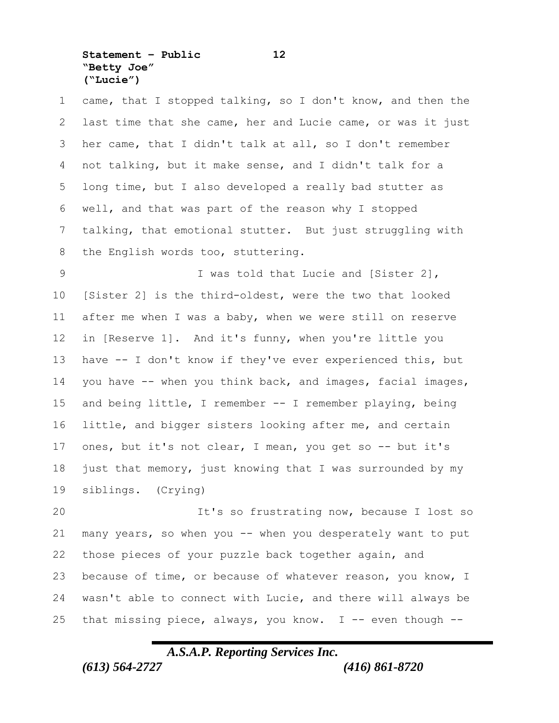**Statement – Public 12 "Betty Joe" ("Lucie")**

 came, that I stopped talking, so I don't know, and then the last time that she came, her and Lucie came, or was it just her came, that I didn't talk at all, so I don't remember not talking, but it make sense, and I didn't talk for a long time, but I also developed a really bad stutter as well, and that was part of the reason why I stopped talking, that emotional stutter. But just struggling with 8 the English words too, stuttering.

 I was told that Lucie and [Sister 2], [Sister 2] is the third-oldest, were the two that looked after me when I was a baby, when we were still on reserve in [Reserve 1]. And it's funny, when you're little you have -- I don't know if they've ever experienced this, but you have -- when you think back, and images, facial images, and being little, I remember -- I remember playing, being little, and bigger sisters looking after me, and certain ones, but it's not clear, I mean, you get so -- but it's just that memory, just knowing that I was surrounded by my siblings. (Crying)

 It's so frustrating now, because I lost so 21 many years, so when you -- when you desperately want to put those pieces of your puzzle back together again, and because of time, or because of whatever reason, you know, I wasn't able to connect with Lucie, and there will always be 25 that missing piece, always, you know.  $I$  -- even though  $-$ -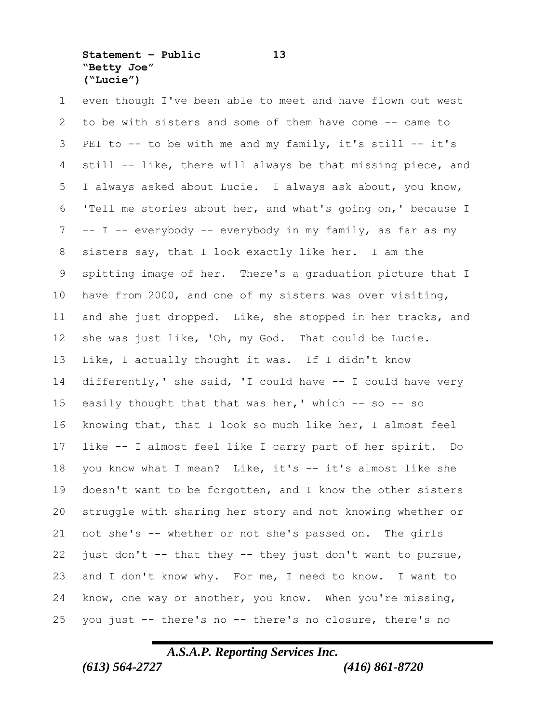**Statement – Public 13 "Betty Joe" ("Lucie")**

 even though I've been able to meet and have flown out west to be with sisters and some of them have come -- came to PEI to -- to be with me and my family, it's still -- it's still -- like, there will always be that missing piece, and I always asked about Lucie. I always ask about, you know, 'Tell me stories about her, and what's going on,' because I -- I -- everybody -- everybody in my family, as far as my sisters say, that I look exactly like her. I am the spitting image of her. There's a graduation picture that I have from 2000, and one of my sisters was over visiting, and she just dropped. Like, she stopped in her tracks, and she was just like, 'Oh, my God. That could be Lucie. Like, I actually thought it was. If I didn't know differently,' she said, 'I could have -- I could have very 15 easily thought that that was her,' which  $-$  so  $-$  so knowing that, that I look so much like her, I almost feel like -- I almost feel like I carry part of her spirit. Do 18 you know what I mean? Like, it's -- it's almost like she doesn't want to be forgotten, and I know the other sisters struggle with sharing her story and not knowing whether or not she's -- whether or not she's passed on. The girls 22 just don't  $-$  that they  $-$  they just don't want to pursue, and I don't know why. For me, I need to know. I want to know, one way or another, you know. When you're missing, you just -- there's no -- there's no closure, there's no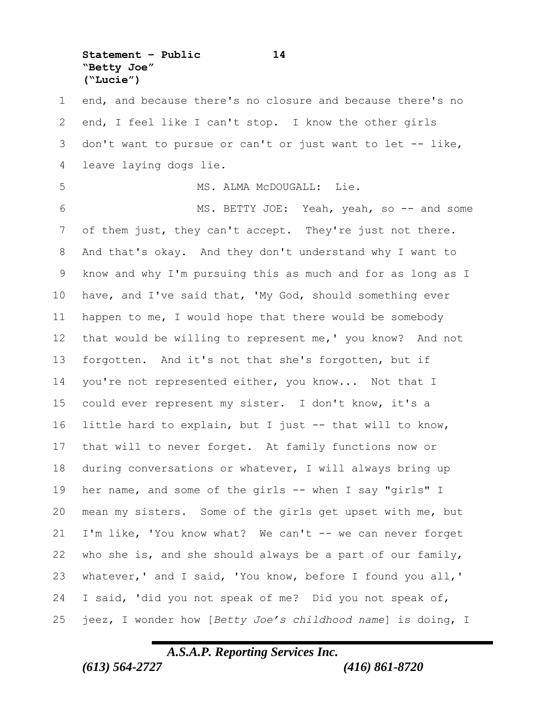**Statement – Public 14 "Betty Joe" ("Lucie")**

 end, and because there's no closure and because there's no end, I feel like I can't stop. I know the other girls don't want to pursue or can't or just want to let -- like, leave laying dogs lie. 5 MS. ALMA McDOUGALL: Lie. MS. BETTY JOE: Yeah, yeah, so -- and some of them just, they can't accept. They're just not there. And that's okay. And they don't understand why I want to know and why I'm pursuing this as much and for as long as I have, and I've said that, 'My God, should something ever happen to me, I would hope that there would be somebody that would be willing to represent me,' you know? And not forgotten. And it's not that she's forgotten, but if 14 you're not represented either, you know... Not that I could ever represent my sister. I don't know, it's a little hard to explain, but I just -- that will to know, that will to never forget. At family functions now or during conversations or whatever, I will always bring up her name, and some of the girls -- when I say "girls" I mean my sisters. Some of the girls get upset with me, but I'm like, 'You know what? We can't -- we can never forget who she is, and she should always be a part of our family, whatever,' and I said, 'You know, before I found you all,' I said, 'did you not speak of me? Did you not speak of, jeez, I wonder how [*Betty Joe's childhood name*] is doing, I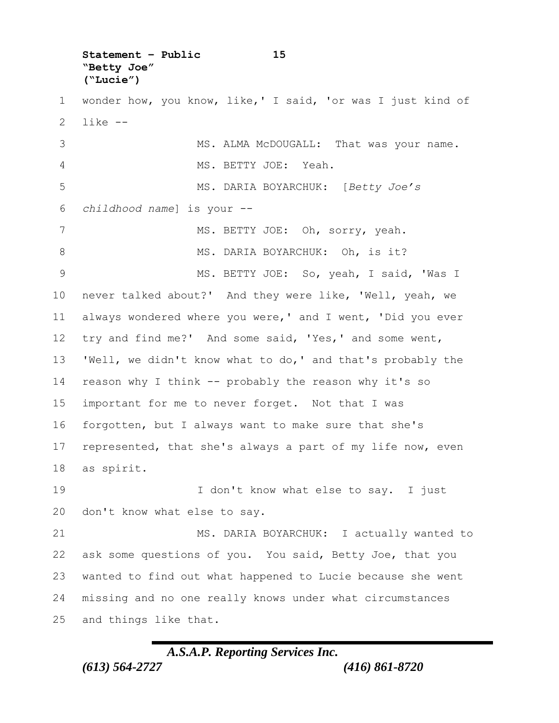**Statement – Public 15 "Betty Joe" ("Lucie")**

 wonder how, you know, like,' I said, 'or was I just kind of like -- MS. ALMA McDOUGALL: That was your name.

 MS. BETTY JOE: Yeah. MS. DARIA BOYARCHUK: [*Betty Joe's childhood name*] is your -- 7 MS. BETTY JOE: Oh, sorry, yeah. 8 MS. DARIA BOYARCHUK: Oh, is it? MS. BETTY JOE: So, yeah, I said, 'Was I never talked about?' And they were like, 'Well, yeah, we always wondered where you were,' and I went, 'Did you ever try and find me?' And some said, 'Yes,' and some went, 'Well, we didn't know what to do,' and that's probably the reason why I think -- probably the reason why it's so important for me to never forget. Not that I was forgotten, but I always want to make sure that she's 17 represented, that she's always a part of my life now, even as spirit.

19 19 I don't know what else to say. I just don't know what else to say.

21 MS. DARIA BOYARCHUK: I actually wanted to ask some questions of you. You said, Betty Joe, that you wanted to find out what happened to Lucie because she went missing and no one really knows under what circumstances and things like that.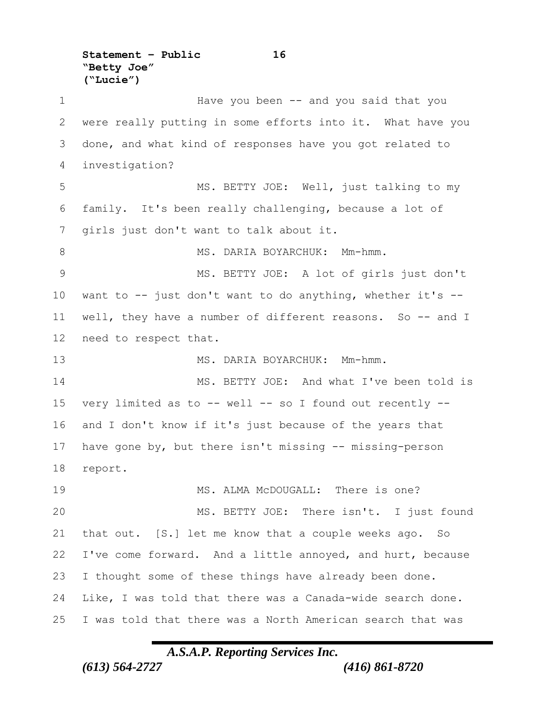**Statement – Public 16 "Betty Joe" ("Lucie")**

1 Have you been -- and you said that you were really putting in some efforts into it. What have you done, and what kind of responses have you got related to investigation? MS. BETTY JOE: Well, just talking to my family. It's been really challenging, because a lot of girls just don't want to talk about it. 8 MS. DARIA BOYARCHUK: Mm-hmm. MS. BETTY JOE: A lot of girls just don't want to -- just don't want to do anything, whether it's -- well, they have a number of different reasons. So -- and I need to respect that. 13 MS. DARIA BOYARCHUK: Mm-hmm. 14 MS. BETTY JOE: And what I've been told is very limited as to -- well -- so I found out recently -- and I don't know if it's just because of the years that have gone by, but there isn't missing -- missing-person report. MS. ALMA McDOUGALL: There is one? MS. BETTY JOE: There isn't. I just found that out. [S.] let me know that a couple weeks ago. So I've come forward. And a little annoyed, and hurt, because I thought some of these things have already been done. Like, I was told that there was a Canada-wide search done. I was told that there was a North American search that was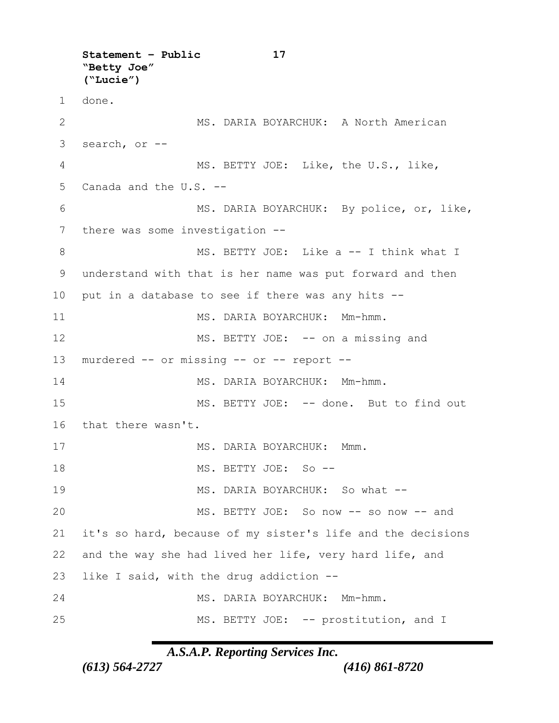**Statement – Public 17 "Betty Joe" ("Lucie")** 1 done. 2 MS. DARIA BOYARCHUK: A North American 3 search, or -- 4 MS. BETTY JOE: Like, the U.S., like, 5 Canada and the U.S. -- 6 MS. DARIA BOYARCHUK: By police, or, like, 7 there was some investigation --8 MS. BETTY JOE: Like a -- I think what I 9 understand with that is her name was put forward and then 10 put in a database to see if there was any hits -- 11 MS. DARIA BOYARCHUK: Mm-hmm. 12 MS. BETTY JOE: -- on a missing and 13 murdered -- or missing -- or -- report -- 14 MS. DARIA BOYARCHUK: Mm-hmm. 15 MS. BETTY JOE: -- done. But to find out 16 that there wasn't. 17 MS. DARIA BOYARCHUK: Mmm. 18 MS. BETTY JOE: So -- 19 MS. DARIA BOYARCHUK: So what -- 20 MS. BETTY JOE: So now -- so now -- and 21 it's so hard, because of my sister's life and the decisions 22 and the way she had lived her life, very hard life, and 23 like I said, with the drug addiction -- 24 MS. DARIA BOYARCHUK: Mm-hmm. 25 MS. BETTY JOE: -- prostitution, and I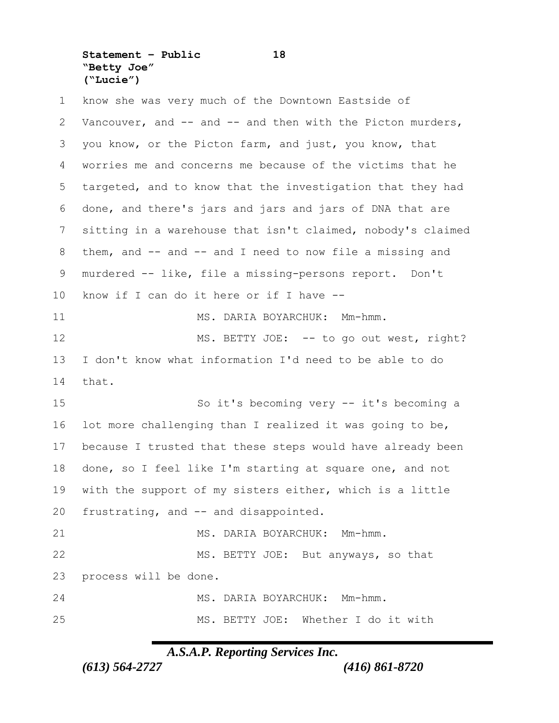**Statement – Public 18 "Betty Joe" ("Lucie")**

 know she was very much of the Downtown Eastside of Vancouver, and -- and -- and then with the Picton murders, you know, or the Picton farm, and just, you know, that worries me and concerns me because of the victims that he targeted, and to know that the investigation that they had done, and there's jars and jars and jars of DNA that are sitting in a warehouse that isn't claimed, nobody's claimed them, and -- and -- and I need to now file a missing and murdered -- like, file a missing-persons report. Don't know if I can do it here or if I have -- 11 MS. DARIA BOYARCHUK: Mm-hmm. 12 MS. BETTY JOE: -- to go out west, right? I don't know what information I'd need to be able to do that. So it's becoming very -- it's becoming a lot more challenging than I realized it was going to be, because I trusted that these steps would have already been done, so I feel like I'm starting at square one, and not with the support of my sisters either, which is a little frustrating, and -- and disappointed. 21 MS. DARIA BOYARCHUK: Mm-hmm. 22 MS. BETTY JOE: But anyways, so that process will be done. MS. DARIA BOYARCHUK: Mm-hmm. MS. BETTY JOE: Whether I do it with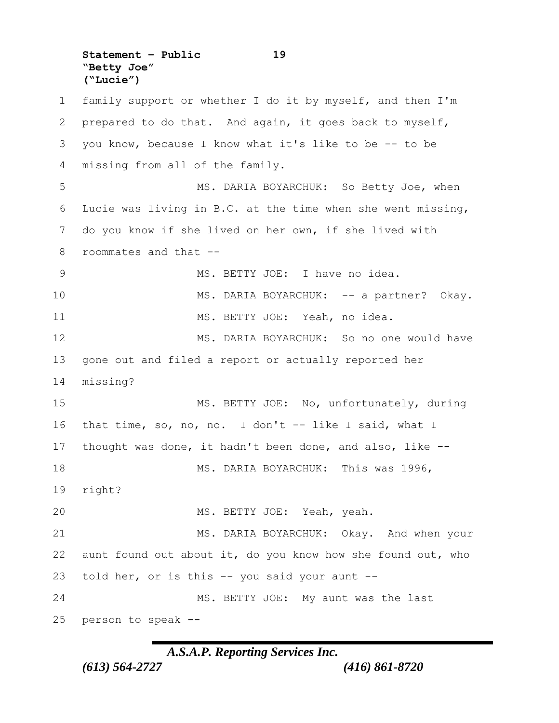**Statement – Public 19 "Betty Joe" ("Lucie")**

 family support or whether I do it by myself, and then I'm prepared to do that. And again, it goes back to myself, you know, because I know what it's like to be -- to be missing from all of the family. MS. DARIA BOYARCHUK: So Betty Joe, when Lucie was living in B.C. at the time when she went missing, do you know if she lived on her own, if she lived with roommates and that -- MS. BETTY JOE: I have no idea. 10 MS. DARIA BOYARCHUK: -- a partner? Okay. MS. BETTY JOE: Yeah, no idea. MS. DARIA BOYARCHUK: So no one would have gone out and filed a report or actually reported her missing? MS. BETTY JOE: No, unfortunately, during that time, so, no, no. I don't -- like I said, what I thought was done, it hadn't been done, and also, like -- MS. DARIA BOYARCHUK: This was 1996, right? MS. BETTY JOE: Yeah, yeah. 21 MS. DARIA BOYARCHUK: Okay. And when your aunt found out about it, do you know how she found out, who told her, or is this -- you said your aunt -- 24 MS. BETTY JOE: My aunt was the last person to speak --

# *A.S.A.P. Reporting Services Inc.*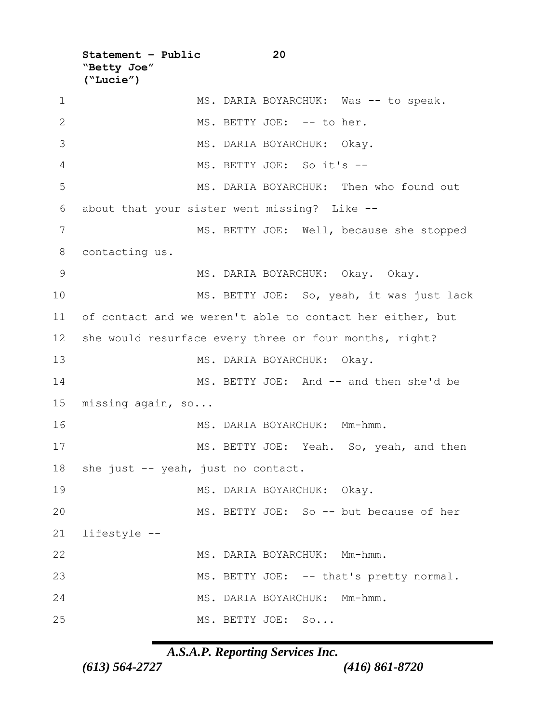**Statement – Public 20 "Betty Joe" ("Lucie")**

1 MS. DARIA BOYARCHUK: Was -- to speak. 2 MS. BETTY JOE: -- to her. MS. DARIA BOYARCHUK: Okay. MS. BETTY JOE: So it's -- MS. DARIA BOYARCHUK: Then who found out about that your sister went missing? Like -- MS. BETTY JOE: Well, because she stopped contacting us. MS. DARIA BOYARCHUK: Okay. Okay. MS. BETTY JOE: So, yeah, it was just lack of contact and we weren't able to contact her either, but she would resurface every three or four months, right? MS. DARIA BOYARCHUK: Okay. MS. BETTY JOE: And -- and then she'd be missing again, so... 16 MS. DARIA BOYARCHUK: Mm-hmm. 17 MS. BETTY JOE: Yeah. So, yeah, and then 18 she just -- yeah, just no contact. 19 MS. DARIA BOYARCHUK: Okay. MS. BETTY JOE: So -- but because of her lifestyle -- MS. DARIA BOYARCHUK: Mm-hmm. 23 MS. BETTY JOE: -- that's pretty normal. MS. DARIA BOYARCHUK: Mm-hmm. MS. BETTY JOE: So...

*A.S.A.P. Reporting Services Inc.*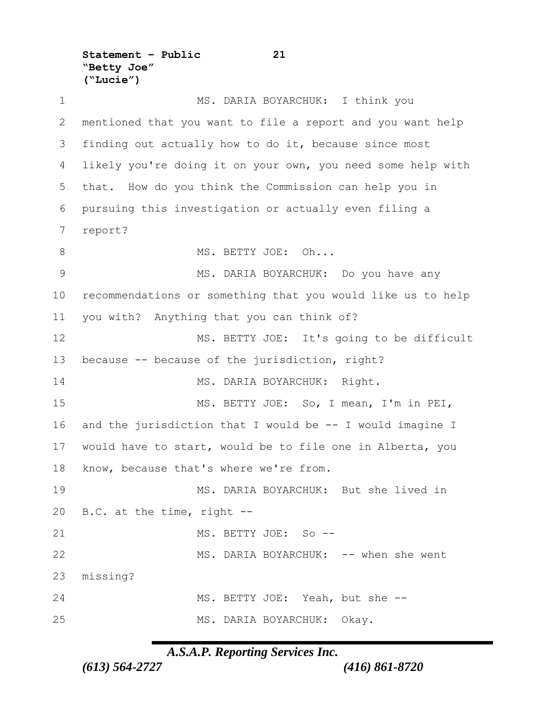**Statement – Public 21 "Betty Joe" ("Lucie")**

 MS. DARIA BOYARCHUK: I think you mentioned that you want to file a report and you want help finding out actually how to do it, because since most likely you're doing it on your own, you need some help with that. How do you think the Commission can help you in pursuing this investigation or actually even filing a report? 8 MS. BETTY JOE: Oh... MS. DARIA BOYARCHUK: Do you have any recommendations or something that you would like us to help you with? Anything that you can think of? 12 MS. BETTY JOE: It's going to be difficult because -- because of the jurisdiction, right? 14 MS. DARIA BOYARCHUK: Right. MS. BETTY JOE: So, I mean, I'm in PEI, and the jurisdiction that I would be -- I would imagine I would have to start, would be to file one in Alberta, you know, because that's where we're from. MS. DARIA BOYARCHUK: But she lived in B.C. at the time, right -- MS. BETTY JOE: So -- 22 MS. DARIA BOYARCHUK: -- when she went missing? MS. BETTY JOE: Yeah, but she -- MS. DARIA BOYARCHUK: Okay.

*A.S.A.P. Reporting Services Inc.*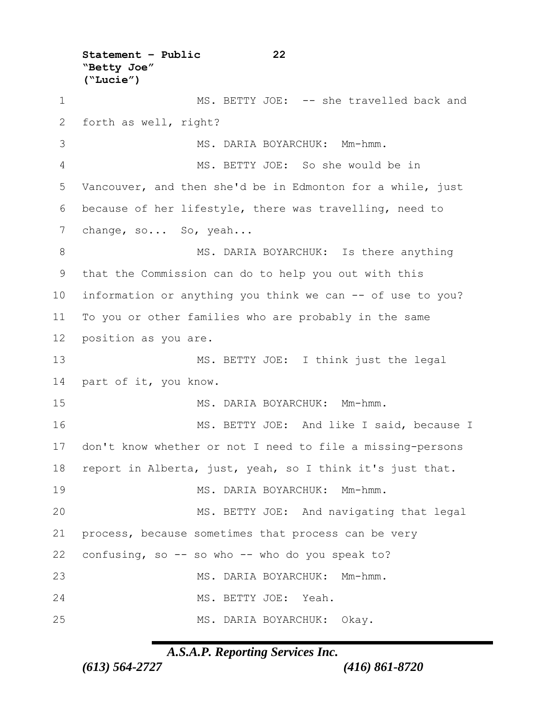**Statement – Public 22 "Betty Joe" ("Lucie")** 1 MS. BETTY JOE: -- she travelled back and forth as well, right? 3 MS. DARIA BOYARCHUK: Mm-hmm. MS. BETTY JOE: So she would be in Vancouver, and then she'd be in Edmonton for a while, just because of her lifestyle, there was travelling, need to 7 change, so... So, yeah... 8 MS. DARIA BOYARCHUK: Is there anything that the Commission can do to help you out with this information or anything you think we can -- of use to you? To you or other families who are probably in the same position as you are. MS. BETTY JOE: I think just the legal part of it, you know. MS. DARIA BOYARCHUK: Mm-hmm. 16 MS. BETTY JOE: And like I said, because I don't know whether or not I need to file a missing-persons report in Alberta, just, yeah, so I think it's just that. MS. DARIA BOYARCHUK: Mm-hmm. MS. BETTY JOE: And navigating that legal process, because sometimes that process can be very confusing, so -- so who -- who do you speak to? MS. DARIA BOYARCHUK: Mm-hmm. MS. BETTY JOE: Yeah. MS. DARIA BOYARCHUK: Okay.

# *A.S.A.P. Reporting Services Inc.*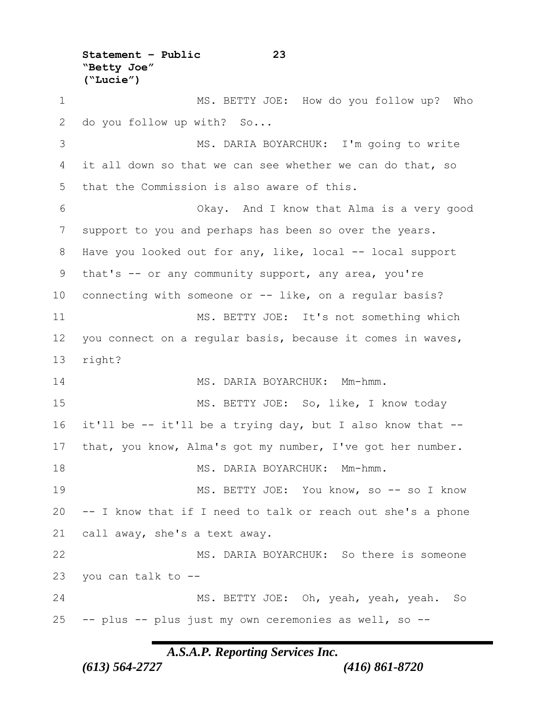**"Betty Joe" ("Lucie")** MS. BETTY JOE: How do you follow up? Who do you follow up with? So... MS. DARIA BOYARCHUK: I'm going to write it all down so that we can see whether we can do that, so that the Commission is also aware of this. Okay. And I know that Alma is a very good support to you and perhaps has been so over the years. 8 Have you looked out for any, like, local -- local support that's -- or any community support, any area, you're connecting with someone or -- like, on a regular basis? MS. BETTY JOE: It's not something which you connect on a regular basis, because it comes in waves, right? MS. DARIA BOYARCHUK: Mm-hmm. MS. BETTY JOE: So, like, I know today it'll be -- it'll be a trying day, but I also know that -- that, you know, Alma's got my number, I've got her number. 18 MS. DARIA BOYARCHUK: Mm-hmm. MS. BETTY JOE: You know, so -- so I know -- I know that if I need to talk or reach out she's a phone call away, she's a text away. MS. DARIA BOYARCHUK: So there is someone you can talk to -- MS. BETTY JOE: Oh, yeah, yeah, yeah. So -- plus -- plus just my own ceremonies as well, so --

**Statement – Public 23**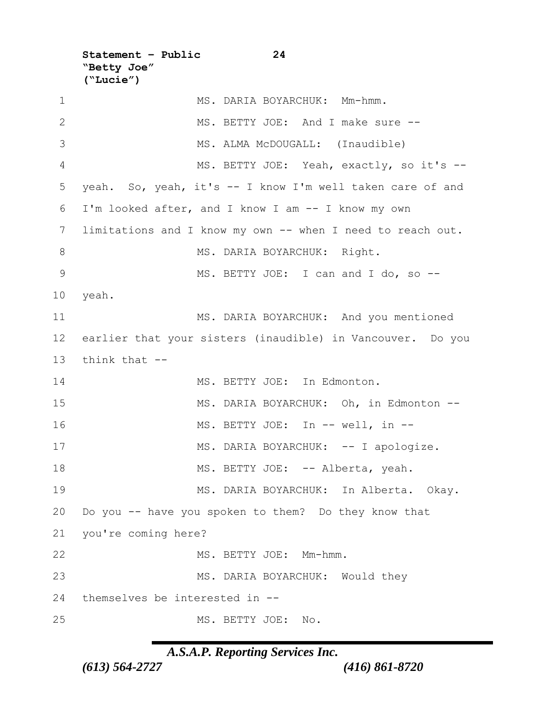**Statement – Public 24 "Betty Joe" ("Lucie")**

1 MS. DARIA BOYARCHUK: Mm-hmm. MS. BETTY JOE: And I make sure -- 3 MS. ALMA McDOUGALL: (Inaudible) MS. BETTY JOE: Yeah, exactly, so it's -- yeah. So, yeah, it's -- I know I'm well taken care of and I'm looked after, and I know I am -- I know my own limitations and I know my own -- when I need to reach out. 8 MS. DARIA BOYARCHUK: Right. 9 MS. BETTY JOE: I can and I do, so --10 yeah. MS. DARIA BOYARCHUK: And you mentioned earlier that your sisters (inaudible) in Vancouver. Do you think that -- MS. BETTY JOE: In Edmonton. MS. DARIA BOYARCHUK: Oh, in Edmonton -- 16 MS. BETTY JOE: In -- well, in --17 MS. DARIA BOYARCHUK: -- I apologize. 18 MS. BETTY JOE: -- Alberta, yeah. MS. DARIA BOYARCHUK: In Alberta. Okay. Do you -- have you spoken to them? Do they know that you're coming here? MS. BETTY JOE: Mm-hmm. MS. DARIA BOYARCHUK: Would they themselves be interested in -- MS. BETTY JOE: No.

*A.S.A.P. Reporting Services Inc.*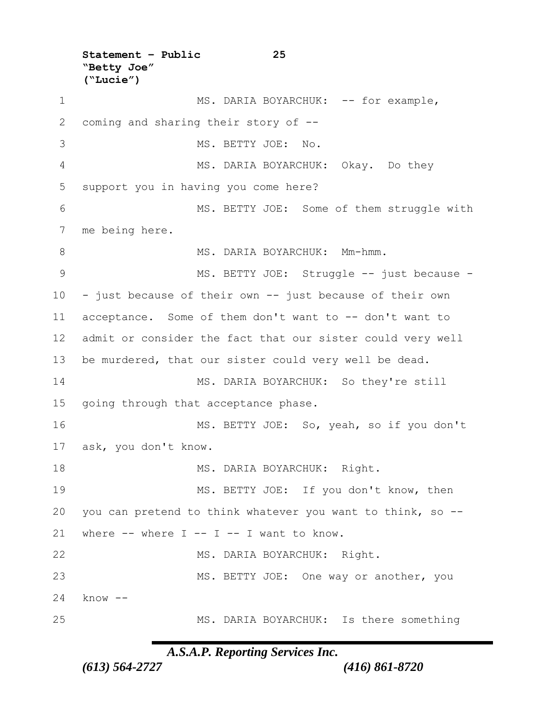**Statement – Public 25 "Betty Joe" ("Lucie")** 1 MS. DARIA BOYARCHUK: -- for example, coming and sharing their story of -- 3 MS. BETTY JOE: No. MS. DARIA BOYARCHUK: Okay. Do they support you in having you come here? MS. BETTY JOE: Some of them struggle with me being here. 8 MS. DARIA BOYARCHUK: Mm-hmm. 9 MS. BETTY JOE: Struggle -- just because - - just because of their own -- just because of their own acceptance. Some of them don't want to -- don't want to admit or consider the fact that our sister could very well be murdered, that our sister could very well be dead. MS. DARIA BOYARCHUK: So they're still going through that acceptance phase. MS. BETTY JOE: So, yeah, so if you don't ask, you don't know. 18 MS. DARIA BOYARCHUK: Right. MS. BETTY JOE: If you don't know, then you can pretend to think whatever you want to think, so -- 21 where  $--$  where  $I -- I -- I$  want to know. MS. DARIA BOYARCHUK: Right. 23 MS. BETTY JOE: One way or another, you 24 know -- MS. DARIA BOYARCHUK: Is there something

*A.S.A.P. Reporting Services Inc.*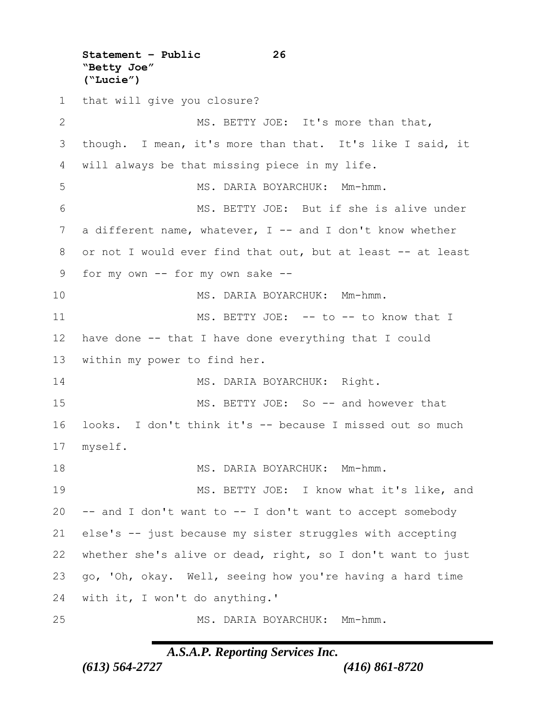**Statement – Public 26 "Betty Joe" ("Lucie")** that will give you closure? 2 MS. BETTY JOE: It's more than that, though. I mean, it's more than that. It's like I said, it will always be that missing piece in my life. MS. DARIA BOYARCHUK: Mm-hmm. MS. BETTY JOE: But if she is alive under 7 a different name, whatever, I -- and I don't know whether or not I would ever find that out, but at least -- at least for my own -- for my own sake -- MS. DARIA BOYARCHUK: Mm-hmm. 11 MS. BETTY JOE: -- to -- to know that I have done -- that I have done everything that I could within my power to find her. 14 MS. DARIA BOYARCHUK: Right. MS. BETTY JOE: So -- and however that looks. I don't think it's -- because I missed out so much myself. 18 MS. DARIA BOYARCHUK: Mm-hmm. 19 MS. BETTY JOE: I know what it's like, and -- and I don't want to -- I don't want to accept somebody else's -- just because my sister struggles with accepting whether she's alive or dead, right, so I don't want to just go, 'Oh, okay. Well, seeing how you're having a hard time with it, I won't do anything.' MS. DARIA BOYARCHUK: Mm-hmm.

### *A.S.A.P. Reporting Services Inc.*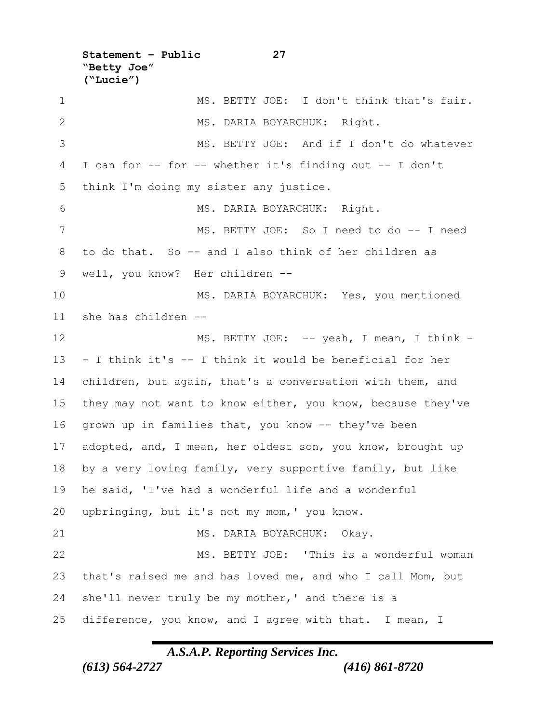**"Betty Joe" ("Lucie")** 1 MS. BETTY JOE: I don't think that's fair. 2 MS. DARIA BOYARCHUK: Right. MS. BETTY JOE: And if I don't do whatever I can for -- for -- whether it's finding out -- I don't think I'm doing my sister any justice. MS. DARIA BOYARCHUK: Right. MS. BETTY JOE: So I need to do -- I need to do that. So -- and I also think of her children as well, you know? Her children -- MS. DARIA BOYARCHUK: Yes, you mentioned she has children -- 12 MS. BETTY JOE: -- yeah, I mean, I think - - I think it's -- I think it would be beneficial for her children, but again, that's a conversation with them, and they may not want to know either, you know, because they've grown up in families that, you know -- they've been 17 adopted, and, I mean, her oldest son, you know, brought up by a very loving family, very supportive family, but like he said, 'I've had a wonderful life and a wonderful upbringing, but it's not my mom,' you know. 21 MS. DARIA BOYARCHUK: Okay. MS. BETTY JOE: 'This is a wonderful woman that's raised me and has loved me, and who I call Mom, but she'll never truly be my mother,' and there is a difference, you know, and I agree with that. I mean, I

**Statement – Public 27**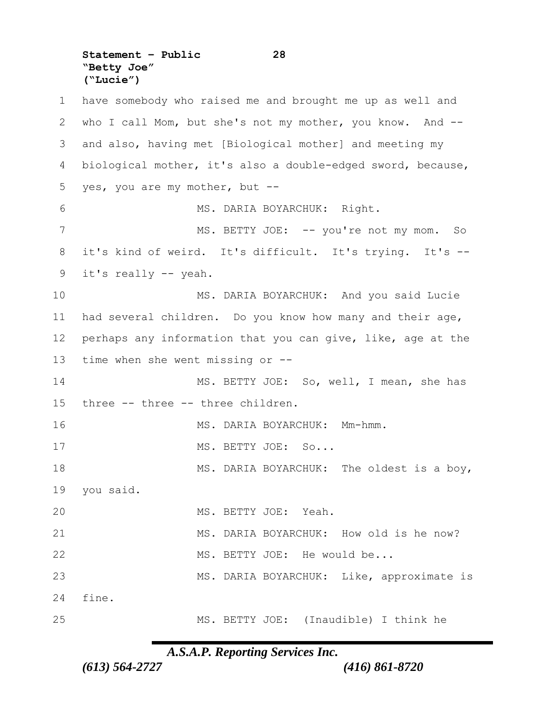**Statement – Public 28 "Betty Joe" ("Lucie")**

 have somebody who raised me and brought me up as well and who I call Mom, but she's not my mother, you know. And -- and also, having met [Biological mother] and meeting my biological mother, it's also a double-edged sword, because, yes, you are my mother, but -- MS. DARIA BOYARCHUK: Right. 7 MS. BETTY JOE: -- you're not my mom. So it's kind of weird. It's difficult. It's trying. It's -- it's really -- yeah. MS. DARIA BOYARCHUK: And you said Lucie had several children. Do you know how many and their age, perhaps any information that you can give, like, age at the time when she went missing or -- MS. BETTY JOE: So, well, I mean, she has three -- three -- three children. 16 MS. DARIA BOYARCHUK: Mm-hmm. 17 MS. BETTY JOE: So... 18 MS. DARIA BOYARCHUK: The oldest is a boy, you said. MS. BETTY JOE: Yeah. MS. DARIA BOYARCHUK: How old is he now? 22 MS. BETTY JOE: He would be... MS. DARIA BOYARCHUK: Like, approximate is fine. MS. BETTY JOE: (Inaudible) I think he

*A.S.A.P. Reporting Services Inc.*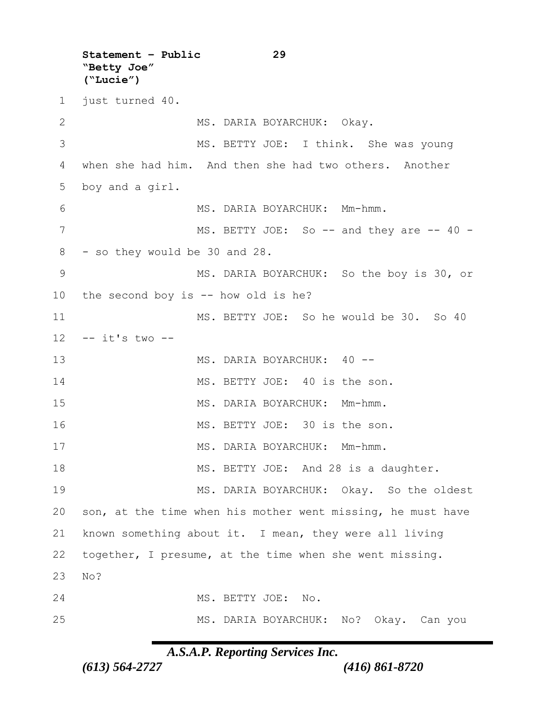**Statement – Public 29 "Betty Joe" ("Lucie")** just turned 40. 2 MS. DARIA BOYARCHUK: Okay. MS. BETTY JOE: I think. She was young when she had him. And then she had two others. Another boy and a girl. MS. DARIA BOYARCHUK: Mm-hmm. 7 MS. BETTY JOE: So -- and they are -- 40 - - so they would be 30 and 28. MS. DARIA BOYARCHUK: So the boy is 30, or the second boy is -- how old is he? MS. BETTY JOE: So he would be 30. So 40 -- it's two -- 13 MS. DARIA BOYARCHUK: 40 --14 MS. BETTY JOE: 40 is the son. MS. DARIA BOYARCHUK: Mm-hmm. MS. BETTY JOE: 30 is the son. 17 MS. DARIA BOYARCHUK: Mm-hmm. 18 MS. BETTY JOE: And 28 is a daughter. 19 MS. DARIA BOYARCHUK: Okay. So the oldest son, at the time when his mother went missing, he must have known something about it. I mean, they were all living together, I presume, at the time when she went missing. 23 No? MS. BETTY JOE: No. MS. DARIA BOYARCHUK: No? Okay. Can you

*A.S.A.P. Reporting Services Inc.*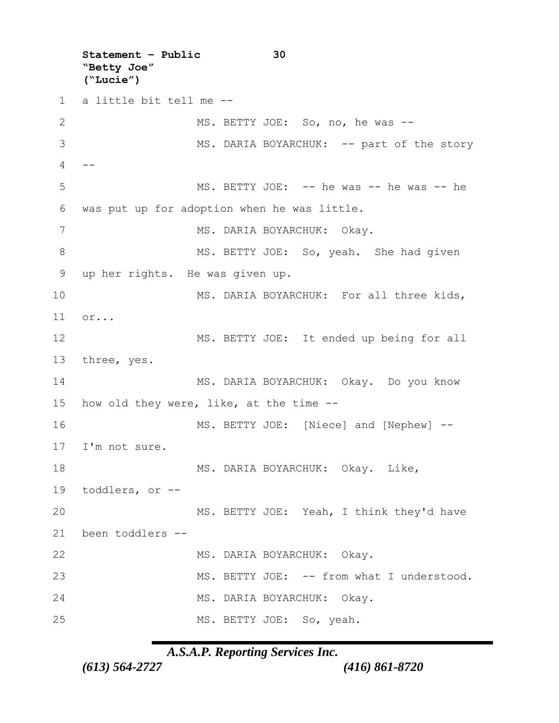**Statement – Public 30 "Betty Joe" ("Lucie")** a little bit tell me -- MS. BETTY JOE: So, no, he was -- 3 MS. DARIA BOYARCHUK: -- part of the story  $\overline{4}$  MS. BETTY JOE: -- he was -- he was -- he was put up for adoption when he was little. 7 MS. DARIA BOYARCHUK: Okay. 8 MS. BETTY JOE: So, yeah. She had given up her rights. He was given up. 10 MS. DARIA BOYARCHUK: For all three kids, 11 or... MS. BETTY JOE: It ended up being for all three, yes. MS. DARIA BOYARCHUK: Okay. Do you know how old they were, like, at the time -- MS. BETTY JOE: [Niece] and [Nephew] -- I'm not sure. 18 MS. DARIA BOYARCHUK: Okay. Like, toddlers, or -- MS. BETTY JOE: Yeah, I think they'd have been toddlers -- MS. DARIA BOYARCHUK: Okay. MS. BETTY JOE: -- from what I understood. MS. DARIA BOYARCHUK: Okay. 25 MS. BETTY JOE: So, yeah.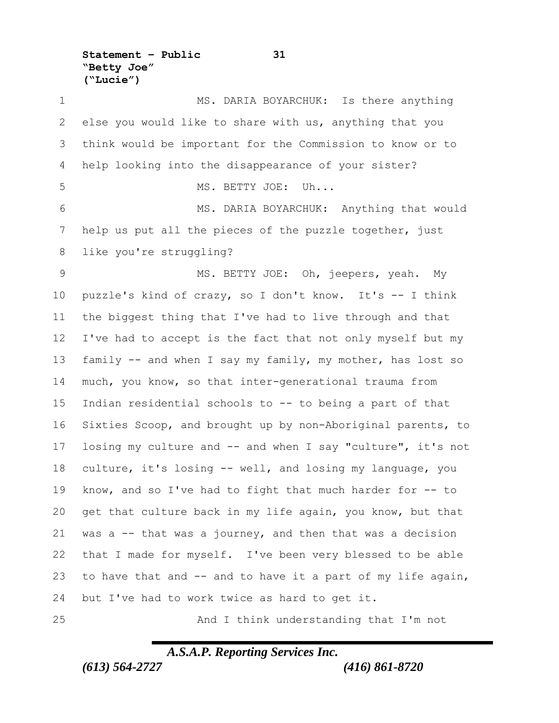**Statement – Public 31 "Betty Joe" ("Lucie")**

 MS. DARIA BOYARCHUK: Is there anything else you would like to share with us, anything that you think would be important for the Commission to know or to help looking into the disappearance of your sister? MS. BETTY JOE: Uh... MS. DARIA BOYARCHUK: Anything that would help us put all the pieces of the puzzle together, just like you're struggling? MS. BETTY JOE: Oh, jeepers, yeah. My puzzle's kind of crazy, so I don't know. It's -- I think the biggest thing that I've had to live through and that I've had to accept is the fact that not only myself but my family -- and when I say my family, my mother, has lost so much, you know, so that inter-generational trauma from Indian residential schools to -- to being a part of that Sixties Scoop, and brought up by non-Aboriginal parents, to losing my culture and -- and when I say "culture", it's not culture, it's losing -- well, and losing my language, you know, and so I've had to fight that much harder for -- to get that culture back in my life again, you know, but that was a -- that was a journey, and then that was a decision that I made for myself. I've been very blessed to be able to have that and -- and to have it a part of my life again, but I've had to work twice as hard to get it. And I think understanding that I'm not

*A.S.A.P. Reporting Services Inc.*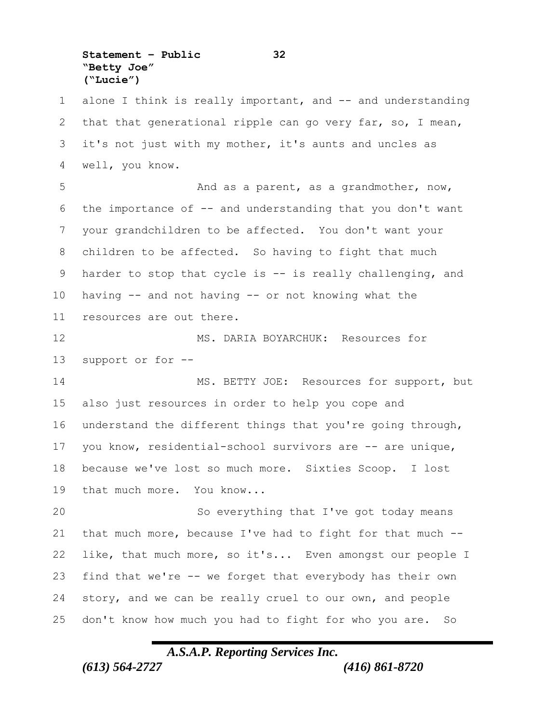**Statement – Public 32 "Betty Joe" ("Lucie")**

1 alone I think is really important, and -- and understanding that that generational ripple can go very far, so, I mean, it's not just with my mother, it's aunts and uncles as well, you know. And as a parent, as a grandmother, now, the importance of -- and understanding that you don't want your grandchildren to be affected. You don't want your children to be affected. So having to fight that much harder to stop that cycle is -- is really challenging, and having -- and not having -- or not knowing what the resources are out there. MS. DARIA BOYARCHUK: Resources for support or for -- 14 MS. BETTY JOE: Resources for support, but also just resources in order to help you cope and understand the different things that you're going through, you know, residential-school survivors are -- are unique, because we've lost so much more. Sixties Scoop. I lost that much more. You know... So everything that I've got today means that much more, because I've had to fight for that much -- like, that much more, so it's... Even amongst our people I find that we're -- we forget that everybody has their own story, and we can be really cruel to our own, and people don't know how much you had to fight for who you are. So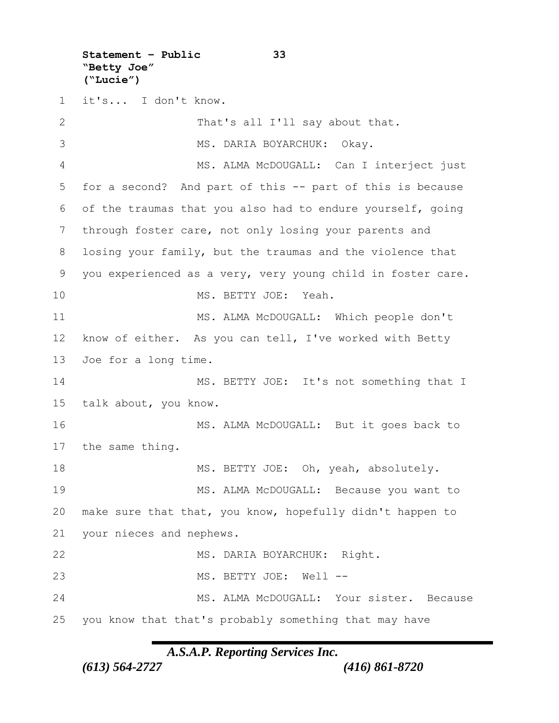**Statement – Public 33 "Betty Joe" ("Lucie")**

 it's... I don't know. That's all I'll say about that. MS. DARIA BOYARCHUK: Okay. MS. ALMA McDOUGALL: Can I interject just for a second? And part of this -- part of this is because of the traumas that you also had to endure yourself, going through foster care, not only losing your parents and losing your family, but the traumas and the violence that you experienced as a very, very young child in foster care. MS. BETTY JOE: Yeah. 11 MS. ALMA McDOUGALL: Which people don't know of either. As you can tell, I've worked with Betty Joe for a long time. 14 MS. BETTY JOE: It's not something that I talk about, you know. MS. ALMA McDOUGALL: But it goes back to the same thing. 18 MS. BETTY JOE: Oh, yeah, absolutely. MS. ALMA McDOUGALL: Because you want to make sure that that, you know, hopefully didn't happen to your nieces and nephews. MS. DARIA BOYARCHUK: Right. MS. BETTY JOE: Well -- 24 MS. ALMA McDOUGALL: Your sister. Because you know that that's probably something that may have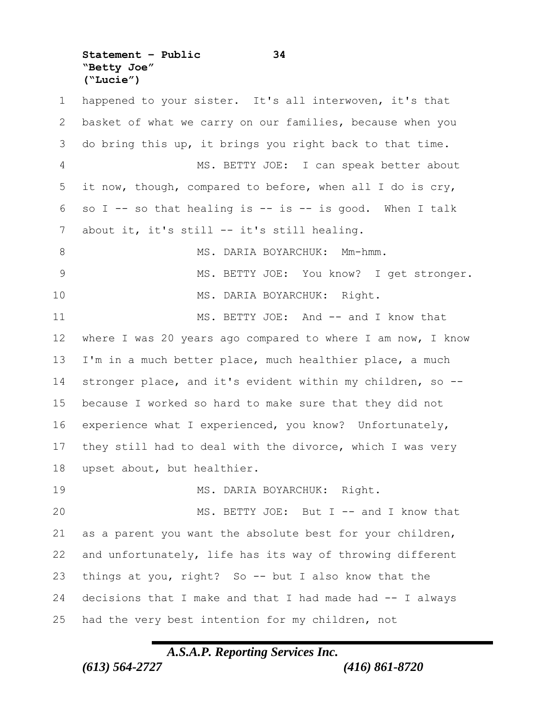**Statement – Public 34 "Betty Joe" ("Lucie")**

 happened to your sister. It's all interwoven, it's that basket of what we carry on our families, because when you do bring this up, it brings you right back to that time. MS. BETTY JOE: I can speak better about it now, though, compared to before, when all I do is cry, 6 so I -- so that healing is -- is -- is good. When I talk about it, it's still -- it's still healing. 8 MS. DARIA BOYARCHUK: Mm-hmm. 9 MS. BETTY JOE: You know? I get stronger. MS. DARIA BOYARCHUK: Right. 11 MS. BETTY JOE: And -- and I know that where I was 20 years ago compared to where I am now, I know I'm in a much better place, much healthier place, a much stronger place, and it's evident within my children, so -- because I worked so hard to make sure that they did not experience what I experienced, you know? Unfortunately, they still had to deal with the divorce, which I was very upset about, but healthier. MS. DARIA BOYARCHUK: Right. 20 MS. BETTY JOE: But I -- and I know that as a parent you want the absolute best for your children, and unfortunately, life has its way of throwing different things at you, right? So -- but I also know that the decisions that I make and that I had made had -- I always had the very best intention for my children, not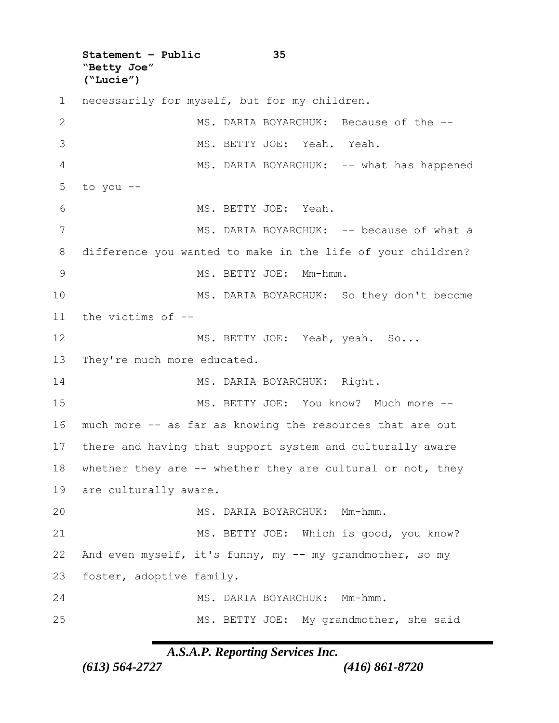**Statement – Public 35 "Betty Joe" ("Lucie")**

 necessarily for myself, but for my children. 2 MS. DARIA BOYARCHUK: Because of the -- MS. BETTY JOE: Yeah. Yeah. 4 MS. DARIA BOYARCHUK: -- what has happened  $5$  to you  $-$  MS. BETTY JOE: Yeah. 7 MS. DARIA BOYARCHUK: -- because of what a difference you wanted to make in the life of your children? MS. BETTY JOE: Mm-hmm. MS. DARIA BOYARCHUK: So they don't become the victims of -- 12 MS. BETTY JOE: Yeah, yeah. So... 13 They're much more educated. 14 MS. DARIA BOYARCHUK: Right. 15 MS. BETTY JOE: You know? Much more -- much more -- as far as knowing the resources that are out there and having that support system and culturally aware 18 whether they are -- whether they are cultural or not, they are culturally aware. MS. DARIA BOYARCHUK: Mm-hmm. MS. BETTY JOE: Which is good, you know? And even myself, it's funny, my -- my grandmother, so my foster, adoptive family. MS. DARIA BOYARCHUK: Mm-hmm. MS. BETTY JOE: My grandmother, she said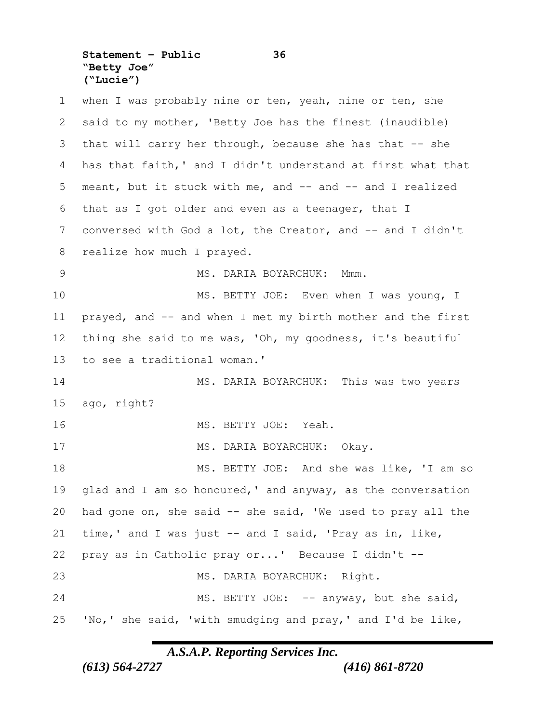**Statement – Public 36 "Betty Joe" ("Lucie")**

1 when I was probably nine or ten, yeah, nine or ten, she said to my mother, 'Betty Joe has the finest (inaudible) that will carry her through, because she has that -- she has that faith,' and I didn't understand at first what that meant, but it stuck with me, and -- and -- and I realized that as I got older and even as a teenager, that I 7 conversed with God a lot, the Creator, and -- and I didn't 8 realize how much I prayed. MS. DARIA BOYARCHUK: Mmm. 10 MS. BETTY JOE: Even when I was young, I 11 prayed, and -- and when I met my birth mother and the first thing she said to me was, 'Oh, my goodness, it's beautiful to see a traditional woman.' MS. DARIA BOYARCHUK: This was two years ago, right? MS. BETTY JOE: Yeah. 17 MS. DARIA BOYARCHUK: Okay. 18 MS. BETTY JOE: And she was like, 'I am so glad and I am so honoured,' and anyway, as the conversation had gone on, she said -- she said, 'We used to pray all the time,' and I was just -- and I said, 'Pray as in, like, pray as in Catholic pray or...' Because I didn't -- MS. DARIA BOYARCHUK: Right. 24 MS. BETTY JOE: -- anyway, but she said, 'No,' she said, 'with smudging and pray,' and I'd be like,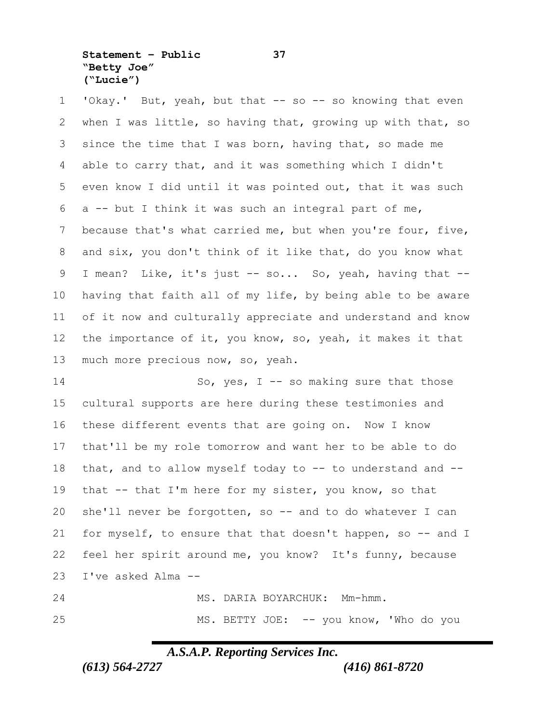**Statement – Public 37 "Betty Joe" ("Lucie")**

1 'Okay.' But, yeah, but that -- so -- so knowing that even when I was little, so having that, growing up with that, so since the time that I was born, having that, so made me able to carry that, and it was something which I didn't even know I did until it was pointed out, that it was such a -- but I think it was such an integral part of me, because that's what carried me, but when you're four, five, and six, you don't think of it like that, do you know what I mean? Like, it's just -- so... So, yeah, having that -- having that faith all of my life, by being able to be aware of it now and culturally appreciate and understand and know the importance of it, you know, so, yeah, it makes it that much more precious now, so, yeah.

14 So, yes, I -- so making sure that those cultural supports are here during these testimonies and these different events that are going on. Now I know that'll be my role tomorrow and want her to be able to do that, and to allow myself today to -- to understand and -- 19 that -- that I'm here for my sister, you know, so that she'll never be forgotten, so -- and to do whatever I can for myself, to ensure that that doesn't happen, so -- and I feel her spirit around me, you know? It's funny, because I've asked Alma --

 MS. DARIA BOYARCHUK: Mm-hmm. MS. BETTY JOE: -- you know, 'Who do you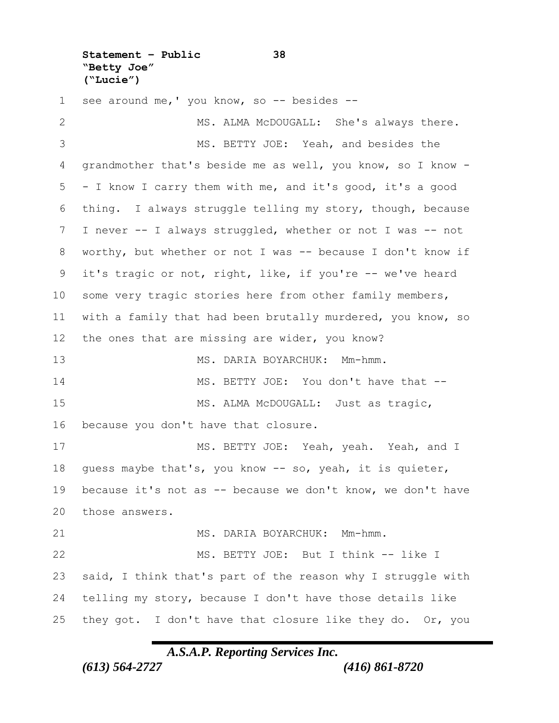**Statement – Public 38 "Betty Joe" ("Lucie")**

1 see around me, ' you know, so -- besides -- MS. ALMA McDOUGALL: She's always there. MS. BETTY JOE: Yeah, and besides the grandmother that's beside me as well, you know, so I know - - I know I carry them with me, and it's good, it's a good thing. I always struggle telling my story, though, because I never -- I always struggled, whether or not I was -- not worthy, but whether or not I was -- because I don't know if it's tragic or not, right, like, if you're -- we've heard some very tragic stories here from other family members, with a family that had been brutally murdered, you know, so the ones that are missing are wider, you know? 13 MS. DARIA BOYARCHUK: Mm-hmm. 14 MS. BETTY JOE: You don't have that --15 MS. ALMA McDOUGALL: Just as tragic, because you don't have that closure. MS. BETTY JOE: Yeah, yeah. Yeah, and I guess maybe that's, you know -- so, yeah, it is quieter, because it's not as -- because we don't know, we don't have those answers. 21 MS. DARIA BOYARCHUK: Mm-hmm. MS. BETTY JOE: But I think -- like I said, I think that's part of the reason why I struggle with telling my story, because I don't have those details like 25 they got. I don't have that closure like they do. Or, you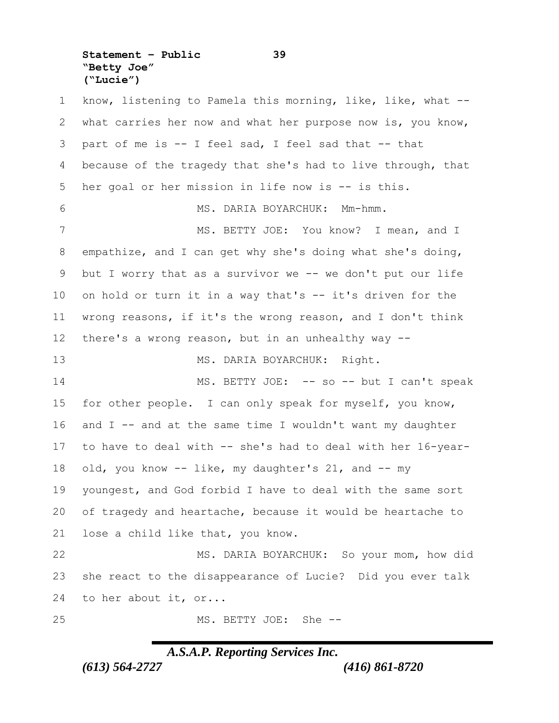**Statement – Public 39 "Betty Joe" ("Lucie")**

 know, listening to Pamela this morning, like, like, what -- what carries her now and what her purpose now is, you know, part of me is -- I feel sad, I feel sad that -- that 4 because of the tragedy that she's had to live through, that her goal or her mission in life now is -- is this. MS. DARIA BOYARCHUK: Mm-hmm. 7 MS. BETTY JOE: You know? I mean, and I empathize, and I can get why she's doing what she's doing, but I worry that as a survivor we -- we don't put our life 10 on hold or turn it in a way that's -- it's driven for the wrong reasons, if it's the wrong reason, and I don't think there's a wrong reason, but in an unhealthy way -- 13 MS. DARIA BOYARCHUK: Right. 14 MS. BETTY JOE: -- so -- but I can't speak for other people. I can only speak for myself, you know, and I -- and at the same time I wouldn't want my daughter to have to deal with -- she's had to deal with her 16-year- old, you know -- like, my daughter's 21, and -- my youngest, and God forbid I have to deal with the same sort of tragedy and heartache, because it would be heartache to lose a child like that, you know. MS. DARIA BOYARCHUK: So your mom, how did she react to the disappearance of Lucie? Did you ever talk to her about it, or... MS. BETTY JOE: She --

### *A.S.A.P. Reporting Services Inc.*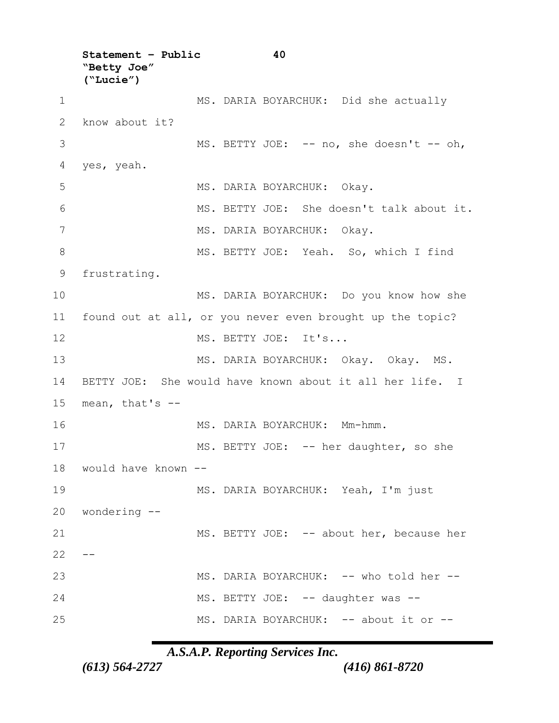**Statement – Public 40 "Betty Joe" ("Lucie")** 1 MS. DARIA BOYARCHUK: Did she actually 2 know about it? 3 MS. BETTY JOE: -- no, she doesn't -- oh, 4 yes, yeah. 5 MS. DARIA BOYARCHUK: Okay. 6 MS. BETTY JOE: She doesn't talk about it. 7 MS. DARIA BOYARCHUK: Okay. 8 MS. BETTY JOE: Yeah. So, which I find 9 frustrating. 10 MS. DARIA BOYARCHUK: Do you know how she 11 found out at all, or you never even brought up the topic? 12 MS. BETTY JOE: It's... 13 MS. DARIA BOYARCHUK: Okay. Okay. MS. 14 BETTY JOE: She would have known about it all her life. I 15 mean, that's -- 16 MS. DARIA BOYARCHUK: Mm-hmm. 17 MS. BETTY JOE: -- her daughter, so she 18 would have known -- 19 MS. DARIA BOYARCHUK: Yeah, I'm just 20 wondering -- 21 MS. BETTY JOE: -- about her, because her  $22 - -$ 23 MS. DARIA BOYARCHUK: -- who told her -- 24 MS. BETTY JOE: -- daughter was --25 MS. DARIA BOYARCHUK: -- about it or --

*A.S.A.P. Reporting Services Inc.*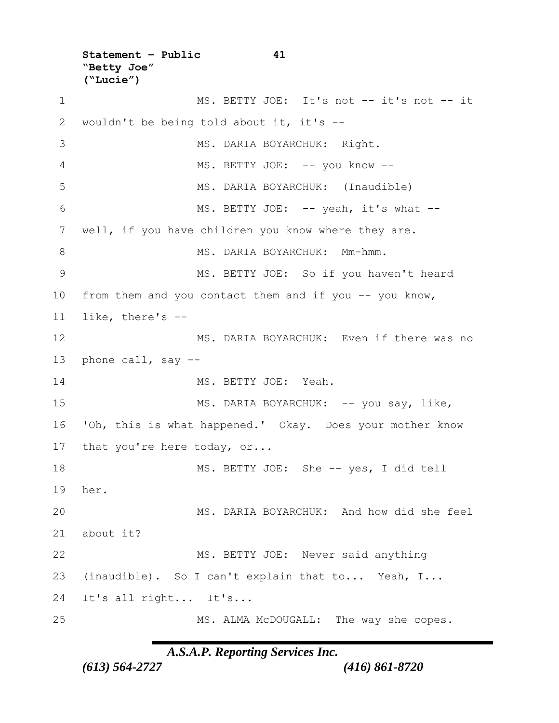**Statement – Public 41 "Betty Joe" ("Lucie")** 1 MS. BETTY JOE: It's not -- it's not -- it 2 wouldn't be being told about it, it's -- 3 MS. DARIA BOYARCHUK: Right. 4 MS. BETTY JOE: -- you know --5 MS. DARIA BOYARCHUK: (Inaudible) 6 MS. BETTY JOE: -- yeah, it's what -- 7 well, if you have children you know where they are. 8 MS. DARIA BOYARCHUK: Mm-hmm. 9 MS. BETTY JOE: So if you haven't heard 10 from them and you contact them and if you -- you know, 11 like, there's -- 12 MS. DARIA BOYARCHUK: Even if there was no 13 phone call, say -- 14 MS. BETTY JOE: Yeah. 15 MS. DARIA BOYARCHUK: -- you say, like, 16 'Oh, this is what happened.' Okay. Does your mother know 17 that you're here today, or... 18 MS. BETTY JOE: She -- yes, I did tell 19 her. 20 MS. DARIA BOYARCHUK: And how did she feel 21 about it? 22 MS. BETTY JOE: Never said anything 23 (inaudible). So I can't explain that to... Yeah, I... 24 It's all right... It's... 25 MS. ALMA McDOUGALL: The way she copes.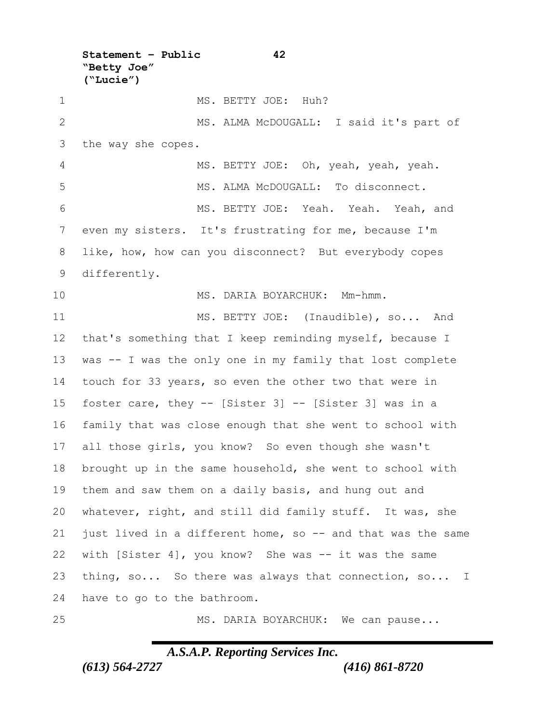**Statement – Public 42 "Betty Joe" ("Lucie")** 1 MS. BETTY JOE: Huh? MS. ALMA McDOUGALL: I said it's part of the way she copes. MS. BETTY JOE: Oh, yeah, yeah, yeah. 5 MS. ALMA McDOUGALL: To disconnect. MS. BETTY JOE: Yeah. Yeah. Yeah, and even my sisters. It's frustrating for me, because I'm like, how, how can you disconnect? But everybody copes differently. MS. DARIA BOYARCHUK: Mm-hmm. 11 MS. BETTY JOE: (Inaudible), so... And that's something that I keep reminding myself, because I was -- I was the only one in my family that lost complete touch for 33 years, so even the other two that were in foster care, they -- [Sister 3] -- [Sister 3] was in a family that was close enough that she went to school with all those girls, you know? So even though she wasn't brought up in the same household, she went to school with them and saw them on a daily basis, and hung out and whatever, right, and still did family stuff. It was, she just lived in a different home, so -- and that was the same with [Sister 4], you know? She was -- it was the same thing, so... So there was always that connection, so... I have to go to the bathroom. 25 MS. DARIA BOYARCHUK: We can pause...

*A.S.A.P. Reporting Services Inc.*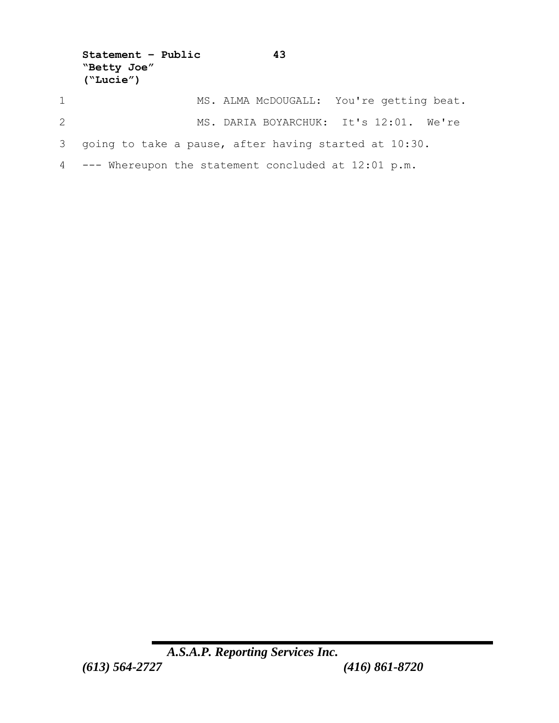```
Statement – Public 43
  "Betty Joe" 
   ("Lucie")
1 MS. ALMA McDOUGALL: You're getting beat.
2 MS. DARIA BOYARCHUK: It's 12:01. We're 
3 going to take a pause, after having started at 10:30.
4 --- Whereupon the statement concluded at 12:01 p.m.
```